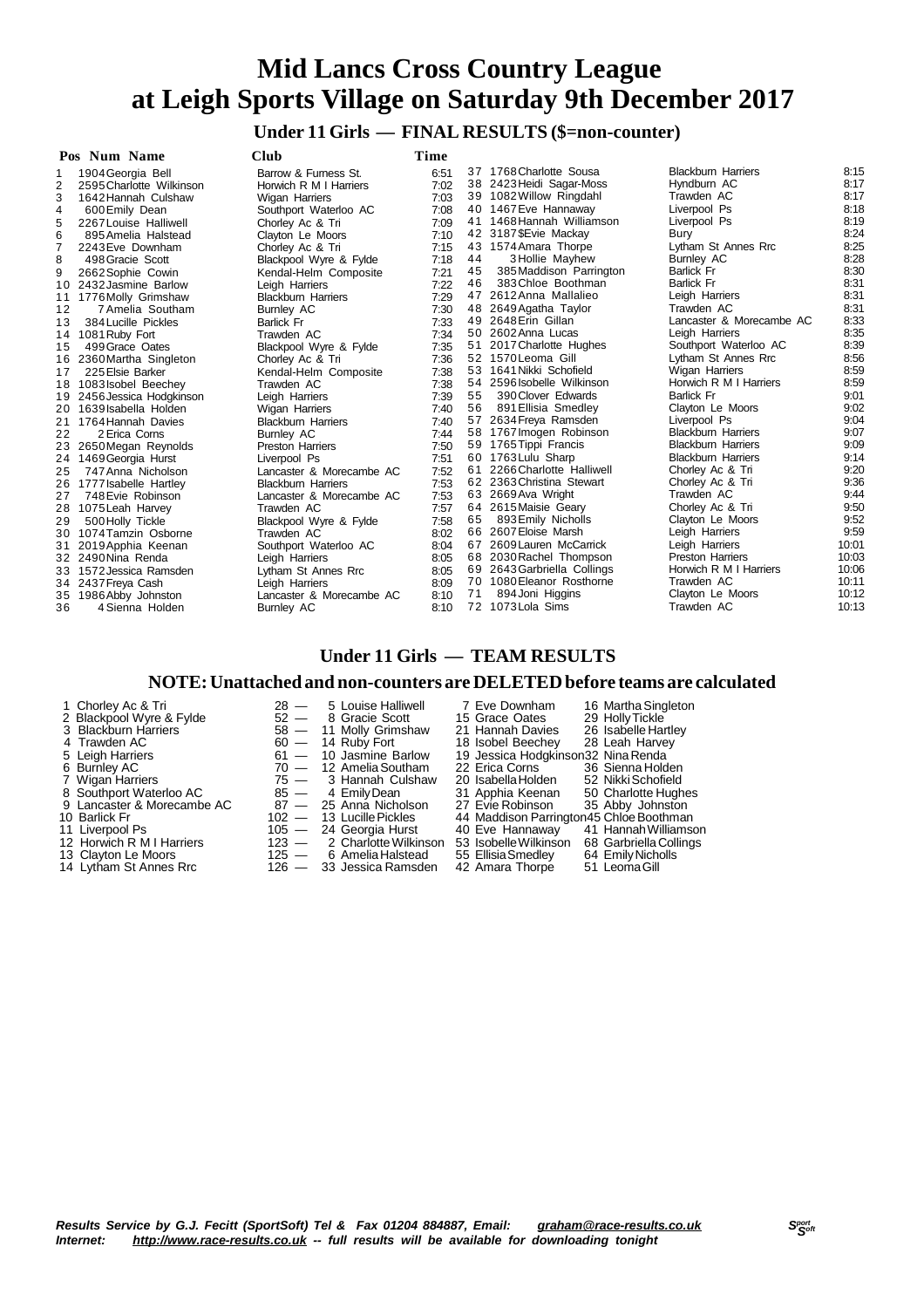**Under 11 Girls — FINAL RESULTS (\$=non-counter)**

|    | Pos Num Name             | Club                      | Time |    |                             |                           |       |
|----|--------------------------|---------------------------|------|----|-----------------------------|---------------------------|-------|
|    | 1904 Georgia Bell        | Barrow & Furness St.      | 6:51 |    | 37 1768 Charlotte Sousa     | <b>Blackburn Harriers</b> | 8:15  |
| 2  | 2595 Charlotte Wilkinson | Horwich R M I Harriers    | 7:02 |    | 38 2423 Heidi Sagar-Moss    | Hyndburn AC               | 8:17  |
| 3  | 1642 Hannah Culshaw      | <b>Wigan Harriers</b>     | 7:03 |    | 39 1082 Willow Ringdahl     | Trawden AC                | 8:17  |
| 4  | 600 Emily Dean           | Southport Waterloo AC     | 7:08 |    | 40 1467 Eve Hannaway        | Liverpool Ps              | 8:18  |
| 5  | 2267 Louise Halliwell    | Chorley Ac & Tri          | 7:09 |    | 41 1468 Hannah Williamson   | Liverpool Ps              | 8:19  |
| 6  | 895 Amelia Halstead      | Clayton Le Moors          | 7:10 |    | 42 3187 SEvie Mackay        | Bury                      | 8:24  |
|    | 2243 Eve Downham         | Chorley Ac & Tri          | 7:15 |    | 43 1574 Amara Thorpe        | Lytham St Annes Rrc       | 8:25  |
| 8  | 498 Gracie Scott         | Blackpool Wyre & Fylde    | 7:18 | 44 | 3 Hollie Mayhew             | <b>Burnley AC</b>         | 8:28  |
| 9  | 2662 Sophie Cowin        | Kendal-Helm Composite     | 7:21 | 45 | 385 Maddison Parrington     | <b>Barlick Fr</b>         | 8:30  |
| 10 | 2432 Jasmine Barlow      | Leigh Harriers            | 7:22 | 46 | 383 Chloe Boothman          | <b>Barlick Fr</b>         | 8:31  |
| 11 | 1776 Molly Grimshaw      | <b>Blackburn Harriers</b> | 7:29 |    | 47 2612 Anna Mallalieo      | Leigh Harriers            | 8:31  |
| 12 | 7 Amelia Southam         | <b>Burnley AC</b>         | 7:30 |    | 48 2649 Agatha Taylor       | Trawden AC                | 8:31  |
| 13 | 384 Lucille Pickles      | <b>Barlick Fr</b>         | 7:33 |    | 49 2648 Erin Gillan         | Lancaster & Morecambe AC  | 8:33  |
| 14 | 1081 Ruby Fort           | Trawden AC                | 7:34 |    | 50 2602 Anna Lucas          | Leigh Harriers            | 8:35  |
| 15 | 499 Grace Oates          | Blackpool Wyre & Fylde    | 7:35 |    | 51 2017 Charlotte Hughes    | Southport Waterloo AC     | 8:39  |
| 16 | 2360 Martha Singleton    | Chorley Ac & Tri          | 7:36 |    | 52 1570 Leoma Gill          | Lytham St Annes Rrc       | 8:56  |
| 17 | 225 Elsie Barker         | Kendal-Helm Composite     | 7:38 |    | 53 1641 Nikki Schofield     | Wigan Harriers            | 8:59  |
|    | 18 1083 Isobel Beechey   | Trawden AC                | 7:38 |    | 54 2596 Isobelle Wilkinson  | Horwich R M I Harriers    | 8:59  |
| 19 | 2456 Jessica Hodgkinson  | Leigh Harriers            | 7:39 | 55 | 390 Clover Edwards          | <b>Barlick Fr</b>         | 9:01  |
| 20 | 1639 Isabella Holden     | <b>Wigan Harriers</b>     | 7:40 | 56 | 891 Ellisia Smedley         | Clayton Le Moors          | 9:02  |
| 21 | 1764 Hannah Davies       | <b>Blackburn Harriers</b> | 7:40 |    | 57 2634 Freya Ramsden       | Liverpool Ps              | 9:04  |
| 22 | 2 Erica Corns            | <b>Burnley AC</b>         | 7:44 |    | 58 1767 Imogen Robinson     | <b>Blackburn Harriers</b> | 9:07  |
| 23 | 2650 Megan Reynolds      | <b>Preston Harriers</b>   | 7:50 |    | 59 1765 Tippi Francis       | <b>Blackburn Harriers</b> | 9:09  |
|    | 24 1469 Georgia Hurst    | Liverpool Ps              | 7:51 |    | 60 1763 Lulu Sharp          | <b>Blackburn Harriers</b> | 9:14  |
| 25 | 747 Anna Nicholson       | Lancaster & Morecambe AC  | 7:52 | 61 | 2266 Charlotte Halliwell    | Chorley Ac & Tri          | 9:20  |
|    | 26 1777 Isabelle Hartley | <b>Blackburn Harriers</b> | 7:53 |    | 62 2363 Christina Stewart   | Chorley Ac & Tri          | 9:36  |
| 27 | 748 Evie Robinson        | Lancaster & Morecambe AC  | 7:53 |    | 63 2669 Ava Wright          | Trawden AC                | 9:44  |
|    | 28 1075 Leah Harvey      | Trawden AC                | 7:57 |    | 64 2615 Maisie Geary        | Chorley Ac & Tri          | 9:50  |
| 29 | 500 Holly Tickle         | Blackpool Wyre & Fylde    | 7:58 | 65 | 893 Emily Nicholls          | Clayton Le Moors          | 9:52  |
|    | 30 1074 Tamzin Osborne   | Trawden AC                | 8:02 |    | 66 2607 Eloise Marsh        | Leigh Harriers            | 9:59  |
| 31 | 2019 Apphia Keenan       | Southport Waterloo AC     | 8:04 |    | 67 2609 Lauren McCarrick    | Leigh Harriers            | 10:01 |
|    | 32 2490 Nina Renda       | Leigh Harriers            | 8:05 |    | 68 2030 Rachel Thompson     | <b>Preston Harriers</b>   | 10:03 |
|    | 33 1572 Jessica Ramsden  | Lytham St Annes Rrc       | 8:05 |    | 69 2643 Garbriella Collings | Horwich R M I Harriers    | 10:06 |
|    | 34 2437 Freya Cash       | Leigh Harriers            | 8:09 |    | 70 1080 Eleanor Rosthorne   | Trawden AC                | 10:11 |
| 35 | 1986 Abby Johnston       | Lancaster & Morecambe AC  | 8:10 | 71 | 894 Joni Higgins            | Clayton Le Moors          | 10:12 |
| 36 | 4 Sienna Holden          | <b>Burnley AC</b>         | 8:10 | 72 | 1073 Lola Sims              | Trawden AC                | 10:13 |

### **Under 11 Girls — TEAM RESULTS**

#### **NOTE:Unattached and non-counters are DELETEDbefore teams are calculated**

| 1 Chorley Ac & In          |  | $28 - 5$ Louise Halliwell   | / Eve Downham                                | 16 Martha Singleton  |
|----------------------------|--|-----------------------------|----------------------------------------------|----------------------|
| 2 Blackpool Wyre & Fylde   |  | 52 - 8 Gracie Scott         | 15 Grace Oates                               | 29 Holly Tickle      |
| 3 Blackburn Harriers       |  | 58 - 11 Molly Grimshaw      | 21 Hannah Davies                             | 26 Isabelle Hartley  |
| 4 Trawden AC               |  | $60 - 14$ Ruby Fort         | 18 Isobel Beechey                            | 28 Leah Harvey       |
| 5 Leigh Harriers           |  | $61 - 10$ Jasmine Barlow    | 19 Jessica Hodgkinson32 Nina Renda           |                      |
| 6 Burnley AC               |  | $70 - 12$ Amelia Southam    | 22 Erica Corns                               | 36 Sienna Holden     |
| 7 Wigan Harriers           |  | $75 - 3$ Hannah Culshaw     | 20 Isabella Holden                           | 52 Nikki Schofield   |
| 8 Southport Waterloo AC    |  | 85 — 4 Emily Dean           | 31 Apphia Keenan                             | 50 Charlotte Hughes  |
| 9 Lancaster & Morecambe AC |  | 87 — 25 Anna Nicholson      | 27 Evie Robinson                             | 35 Abby Johnston     |
| 10 Barlick Fr              |  | 102 - 13 Lucille Pickles    | 44 Maddison Parrington45 Chloe Boothman      |                      |
| 11 Liverpool Ps            |  | 105 - 24 Georgia Hurst      | 40 Eve Hannaway                              | 41 Hannah Williamson |
| 12 Horwich R M I Harriers  |  | 123 - 2 Charlotte Wilkinson | 53 Isobelle Wilkinson 68 Garbriella Collings |                      |

- 
- 

Gracie Scott 15 Grace Oates<br>
Molly Grimshaw 21 Hannah Davies 12 Horwich R M I Harriers 123 - 2 Charlotte Wilkinson 53 Isobelle Wilkinson 68 Garbriella Collings<br>12 Garbriella Collings 125 - 6 Amelia Halstead 55 Ellisia Smedley 64 Emily Nicholls

 $126 - 33$  Jessica Ramsden

Louise Halliwell 7 Eve Downham 16 Martha Singleton<br>Gracie Scott 15 Grace Oates 29 Holly Tickle 3 Blackburn Harriers 26 Sabelle Hartley<br>
Ruby Fort 18 Isobel Beechey 28 Leah Harvey<br>
Jasmine Barlow 19 Jessica Hodgkinson 32 Nina Renda 5 Leigh Harriers 19 Jessica Hodgkinson32 Nina Renda<br>19 Jessica Hodgkinson32 Nina Renda<br>19 Sienna Hold (20 Erica Corns 196 Sienna Hold 13 Clayton Le Moors 125 — 6 Amelia Halstead 55 Ellisia Smedley 64 Emily Nich<br>14 Lytham St Annes Rrc 126 — 33 Jessica Ramsden 42 Amara Thorpe

- 
- 
- 
-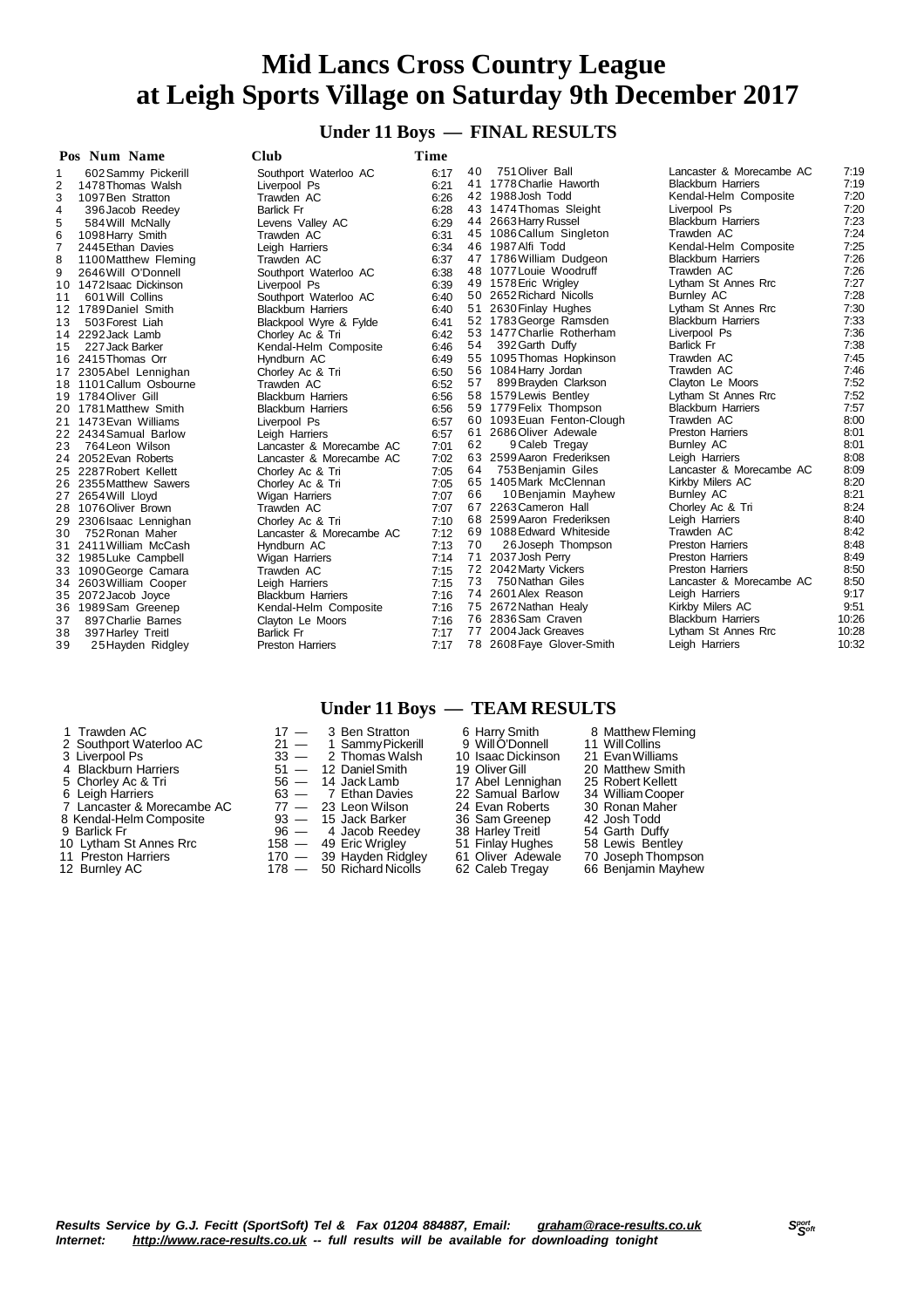**Under 11 Boys — FINAL RESULTS**

|                | Pos Num Name            | Club                      | Time |    |                           |                           |       |
|----------------|-------------------------|---------------------------|------|----|---------------------------|---------------------------|-------|
|                | 602 Sammy Pickerill     | Southport Waterloo AC     | 6:17 | 40 | 751 Oliver Ball           | Lancaster & Morecambe AC  | 7:19  |
| 2              | 1478 Thomas Walsh       | Liverpool Ps              | 6:21 |    | 41 1778 Charlie Haworth   | <b>Blackburn Harriers</b> | 7:19  |
| 3              | 1097 Ben Stratton       | Trawden AC                | 6:26 |    | 42 1988 Josh Todd         | Kendal-Helm Composite     | 7:20  |
| 4              | 396 Jacob Reedey        | <b>Barlick Fr</b>         | 6:28 |    | 43 1474 Thomas Sleight    | Liverpool Ps              | 7:20  |
| 5              | 584 Will McNally        | Levens Valley AC          | 6:29 |    | 44 2663 Harry Russel      | <b>Blackburn Harriers</b> | 7:23  |
| 6              | 1098 Harry Smith        | Trawden AC                | 6:31 |    | 45 1086 Callum Singleton  | Trawden AC                | 7:24  |
| $\overline{7}$ | 2445 Ethan Davies       | Leigh Harriers            | 6:34 |    | 46 1987 Alfi Todd         | Kendal-Helm Composite     | 7:25  |
| 8              | 1100 Matthew Fleming    | Trawden AC                | 6:37 |    | 47 1786 William Dudgeon   | <b>Blackburn Harriers</b> | 7:26  |
| 9              | 2646 Will O'Donnell     | Southport Waterloo AC     | 6:38 |    | 48 1077 Louie Woodruff    | Trawden AC                | 7:26  |
| 10             | 1472 Isaac Dickinson    | Liverpool Ps              | 6:39 |    | 49 1578 Eric Wrigley      | Lytham St Annes Rrc       | 7:27  |
| 11             | 601 Will Collins        | Southport Waterloo AC     | 6:40 |    | 50 2652 Richard Nicolls   | <b>Burnley AC</b>         | 7:28  |
| 12             | 1789 Daniel Smith       | <b>Blackburn Harriers</b> | 6:40 | 51 | 2630 Finlay Hughes        | Lytham St Annes Rrc       | 7:30  |
| 13             | 503 Forest Liah         | Blackpool Wyre & Fylde    | 6:41 |    | 52 1783 George Ramsden    | <b>Blackburn Harriers</b> | 7:33  |
| 14             | 2292 Jack Lamb          | Chorley Ac & Tri          | 6:42 |    | 53 1477 Charlie Rotherham | Liverpool Ps              | 7:36  |
| 15             | 227 Jack Barker         | Kendal-Helm Composite     | 6:46 | 54 | 392 Garth Duffy           | <b>Barlick Fr</b>         | 7:38  |
| 16             | 2415 Thomas Orr         | Hyndburn AC               | 6:49 | 55 | 1095 Thomas Hopkinson     | Trawden AC                | 7:45  |
| 17             | 2305 Abel Lennighan     | Chorley Ac & Tri          | 6:50 | 56 | 1084 Harry Jordan         | Trawden AC                | 7:46  |
|                | 18 1101 Callum Osbourne | Trawden AC                | 6:52 | 57 | 899 Brayden Clarkson      | Clayton Le Moors          | 7:52  |
| 19             | 1784 Oliver Gill        | <b>Blackburn Harriers</b> | 6:56 |    | 58 1579 Lewis Bentley     | Lytham St Annes Rrc       | 7:52  |
|                | 20 1781 Matthew Smith   | <b>Blackburn Harriers</b> | 6:56 |    | 59 1779 Felix Thompson    | <b>Blackburn Harriers</b> | 7:57  |
| 21             | 1473 Evan Williams      | Liverpool Ps              | 6:57 | 60 | 1093 Euan Fenton-Clough   | Trawden AC                | 8:00  |
| 22             | 2434 Samual Barlow      | Leigh Harriers            | 6:57 | 61 | 2686Oliver Adewale        | <b>Preston Harriers</b>   | 8:01  |
| 23             | 764 Leon Wilson         | Lancaster & Morecambe AC  | 7:01 | 62 | 9 Caleb Tregay            | <b>Burnley AC</b>         | 8:01  |
| 24             | 2052 Evan Roberts       | Lancaster & Morecambe AC  | 7:02 | 63 | 2599 Aaron Frederiksen    | Leigh Harriers            | 8:08  |
| 25             | 2287 Robert Kellett     | Chorley Ac & Tri          | 7:05 | 64 | 753 Benjamin Giles        | Lancaster & Morecambe AC  | 8:09  |
| 26             | 2355 Matthew Sawers     | Chorley Ac & Tri          | 7:05 | 65 | 1405 Mark McClennan       | Kirkby Milers AC          | 8:20  |
| 27             | 2654 Will Lloyd         | Wigan Harriers            | 7:07 | 66 | 10 Benjamin Mayhew        | <b>Burnley AC</b>         | 8:21  |
| 28             | 1076 Oliver Brown       | Trawden AC                | 7:07 |    | 67 2263 Cameron Hall      | Chorley Ac & Tri          | 8:24  |
| 29             | 2306 Isaac Lennighan    | Chorley Ac & Tri          | 7:10 |    | 68 2599 Aaron Frederiksen | Leigh Harriers            | 8:40  |
| 30             | 752 Ronan Maher         | Lancaster & Morecambe AC  | 7:12 |    | 69 1088 Edward Whiteside  | Trawden AC                | 8:42  |
| 31             | 2411 William McCash     | Hyndburn AC               | 7:13 | 70 | 26 Joseph Thompson        | <b>Preston Harriers</b>   | 8:48  |
| 32             | 1985 Luke Campbell      | Wigan Harriers            | 7:14 | 71 | 2037 Josh Perry           | <b>Preston Harriers</b>   | 8:49  |
| 33             | 1090 George Camara      | Trawden AC                | 7:15 |    | 72 2042 Marty Vickers     | <b>Preston Harriers</b>   | 8:50  |
| 34             | 2603 William Cooper     | Leigh Harriers            | 7:15 | 73 | 750 Nathan Giles          | Lancaster & Morecambe AC  | 8:50  |
| 35             | 2072 Jacob Joyce        | <b>Blackburn Harriers</b> | 7:16 |    | 74 2601 Alex Reason       | Leigh Harriers            | 9:17  |
| 36             | 1989Sam Greenep         | Kendal-Helm Composite     | 7:16 |    | 75 2672 Nathan Healy      | Kirkby Milers AC          | 9:51  |
| 37             | 897 Charlie Barnes      | Clayton Le Moors          | 7:16 |    | 76 2836 Sam Craven        | <b>Blackburn Harriers</b> | 10:26 |
| 38             | 397 Harley Treitl       | <b>Barlick Fr</b>         | 7:17 | 77 | 2004 Jack Greaves         | Lytham St Annes Rrc       | 10:28 |

# **Under 11 Boys — TEAM RESULTS**

- 
- 
- 
- 

39 25 Hayden Ridgley Preston Harriers

- 
- 
- 
- 

1 Trawden AC 17 — 3 Ben Stratton 6 Harry Smith 8 Matthew Fleming<br>
2 Southport Waterloo AC 21 — 1 Sammy Pickerill 9 Will O'Donnell 11 Will Collins Southport Waterloo AC 21 — 1 Sammy Pickerill 9 Will O'Donnell 11 Will Collins<br>
Liverpool Ps 33 — 2 Thomas Walsh 10 Isaac Dickinson 21 Evan Williams<br>
Blackburn Harriers 51 — 12 Daniel Smith 19 Oliver Gill 20 Matthew Smith<br> Liverpool Ps 33 — 2 Thomas Walsh 10 Isaac Dickinson 21 EvanWilliams 4 Blackburn Harriers 51 — 12 DanielSmith 19 OliverGill 20 Matthew Smith 5 Chorley Ac & Tri 56 — 14 Jack Lamb 17 Abel Lennighan 25 Robert Kellett 6 Leigh Harriers 63 — 7 Ethan Davies 22 Samual Barlow 34 WilliamCooper 7 Decision Privatives of Chories 36 – 14 Jack Lamb 17 Abel Lennighan 25 Robert Kellett<br>
6 Leigh Harriers 63 – 14 Jack Lamb 17 Abel Lennighan 25 Robert Kellett<br>
6 Leigh Harriers 63 – 7 Ethan Davies 22 Samual Barlow 34 Wil 8 Kendal-Helm Composite and Barker and Sam Greenep 42 Josh Todd<br>
9 Barlick Fr and Sam Greeney 38 Harley Treit 54 Garth Duffy<br>
10 Lytham St Annes Rrc and To And Sam Greeney 51 Finlay Hughes 58 Lewis Bentley<br>
11 Preston Harr 9 Barlick Fr 96 — 4 Jacob Reedey 38 Harley Treitl 54 Garth Duffy 10 Lytham St Annes Rrc **158 — 49 Eric Wrigley 51 Finlay Hughes** 58 Lewis Bentley 11 Preston Harriers 170 — 39 Hayden Ridgley 61 Oliver Adewale 70 Joseph Thompson Burnley AC 178 — 50 Richard Nicolls 62 Caleb Tregay 66 Benjamin Mayhew

7:17 78 2608 Faye Glover-Smith Leigh Harriers 10:32

*Internet: <http://www.race-results.co.uk> -- full results will be available for downloading tonight*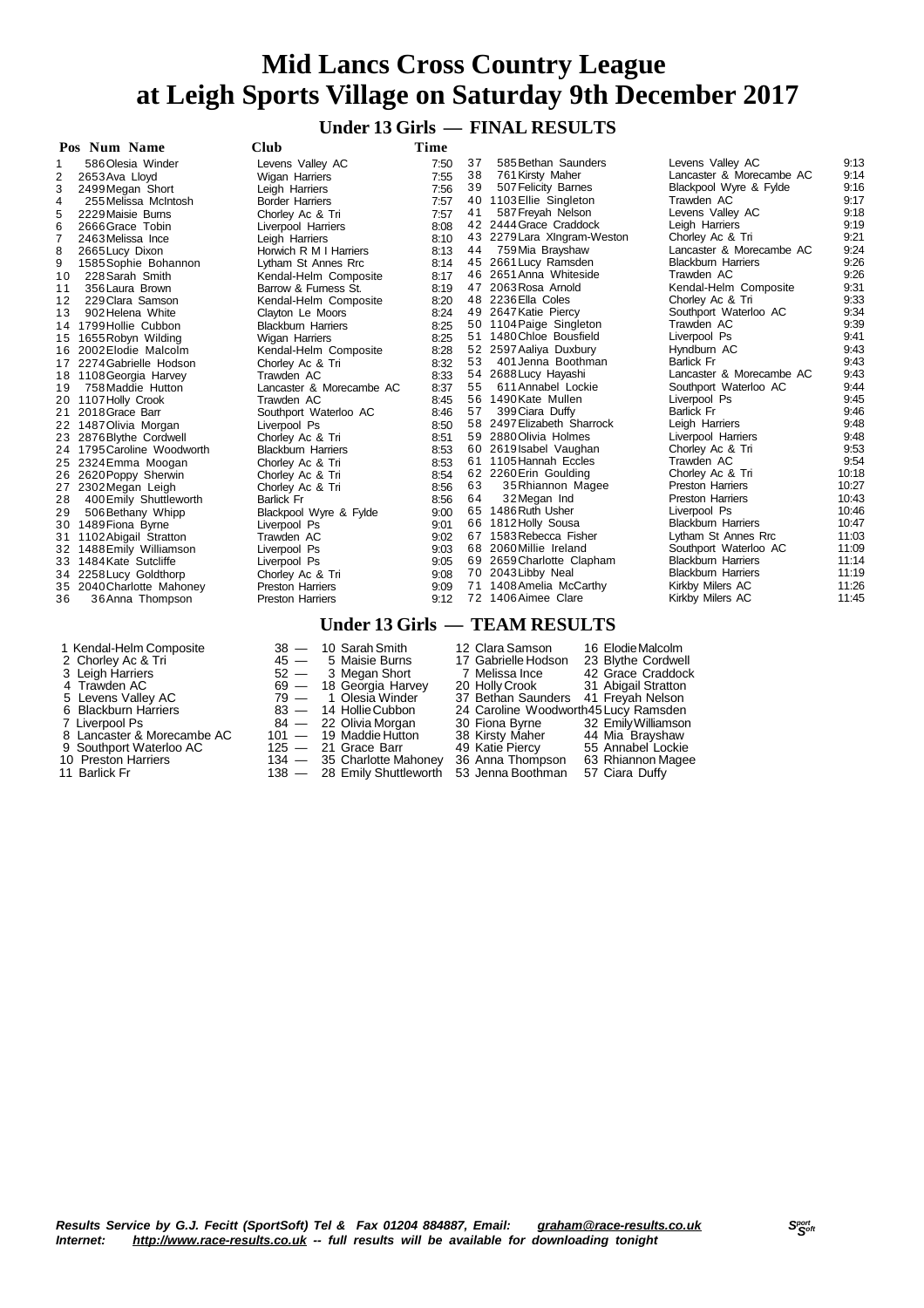### **Under 13 Girls — FINAL RESULTS**

| Pos Num Name                        | <b>Club</b>               | Time |    |                               |                           |       |
|-------------------------------------|---------------------------|------|----|-------------------------------|---------------------------|-------|
| 586 Olesia Winder                   | Levens Valley AC          | 7:50 | 37 | 585 Bethan Saunders           | Levens Valley AC          | 9:13  |
| 2<br>2653 Ava Lloyd                 | Wigan Harriers            | 7:55 | 38 | 761 Kirsty Maher              | Lancaster & Morecambe AC  | 9:14  |
| 3<br>2499 Megan Short               | Leigh Harriers            | 7:56 | 39 | 507 Felicity Barnes           | Blackpool Wyre & Fylde    | 9:16  |
| 255 Melissa McIntosh<br>4           | <b>Border Harriers</b>    | 7:57 |    | 40 1103 Ellie Singleton       | Trawden AC                | 9:17  |
| 5<br>2229 Maisie Burns              | Chorley Ac & Tri          | 7:57 | 41 | 587 Freyah Nelson             | Levens Valley AC          | 9:18  |
| 6<br>2666 Grace Tobin               | Liverpool Harriers        | 8:08 |    | 42 2444 Grace Craddock        | Leigh Harriers            | 9:19  |
| $\overline{7}$<br>2463 Melissa Ince | Leigh Harriers            | 8:10 |    | 43 2279 Lara XIngram-Weston   | Chorley Ac & Tri          | 9:21  |
| 8<br>2665 Lucy Dixon                | Horwich R M I Harriers    | 8:13 | 44 | 759 Mia Brayshaw              | Lancaster & Morecambe AC  | 9:24  |
| 1585 Sophie Bohannon<br>9           | Lytham St Annes Rrc       | 8:14 | 45 | 2661 Lucy Ramsden             | <b>Blackburn Harriers</b> | 9:26  |
| 228 Sarah Smith<br>10               | Kendal-Helm Composite     | 8:17 |    | 46 2651 Anna Whiteside        | Trawden AC                | 9:26  |
| 356 Laura Brown<br>11               | Barrow & Furness St.      | 8:19 |    | 47 2063 Rosa Arnold           | Kendal-Helm Composite     | 9:31  |
| 229 Clara Samson<br>12              | Kendal-Helm Composite     | 8:20 |    | 48 2236 Ella Coles            | Chorley Ac & Tri          | 9:33  |
| 13<br>902 Helena White              | Clayton Le Moors          | 8:24 |    | 49 2647 Katie Piercy          | Southport Waterloo AC     | 9:34  |
| 14 1799 Hollie Cubbon               | <b>Blackburn Harriers</b> | 8:25 |    | 50 1104 Paige Singleton       | Trawden AC                | 9:39  |
| 1655 Robyn Wilding<br>15            | Wigan Harriers            | 8:25 | 51 | 1480 Chloe Bousfield          | Liverpool Ps              | 9:41  |
| 16 2002 Elodie Malcolm              | Kendal-Helm Composite     | 8:28 |    | 52 2597 Aaliya Duxbury        | Hyndburn AC               | 9:43  |
| 17 2274 Gabrielle Hodson            | Chorley Ac & Tri          | 8:32 | 53 | 401 Jenna Boothman            | <b>Barlick Fr</b>         | 9:43  |
| 18 1108 Georgia Harvey              | Trawden AC                | 8:33 |    | 54 2688 Lucy Hayashi          | Lancaster & Morecambe AC  | 9:43  |
| 758 Maddie Hutton<br>19             | Lancaster & Morecambe AC  | 8:37 | 55 | 611 Annabel Lockie            | Southport Waterloo AC     | 9:44  |
| 20 1107 Holly Crook                 | Trawden AC                | 8:45 |    | 56 1490 Kate Mullen           | Liverpool Ps              | 9:45  |
| 2018 Grace Barr<br>21               | Southport Waterloo AC     | 8:46 | 57 | 399 Ciara Duffy               | <b>Barlick Fr</b>         | 9:46  |
| 22 1487 Olivia Morgan               | Liverpool Ps              | 8:50 |    | 58 2497 Elizabeth Sharrock    | Leigh Harriers            | 9:48  |
| 23 2876 Blythe Cordwell             | Chorley Ac & Tri          | 8:51 | 59 | 2880 Olivia Holmes            | Liverpool Harriers        | 9:48  |
| 24 1795 Caroline Woodworth          | <b>Blackburn Harriers</b> | 8:53 |    | 60 2619 Isabel Vaughan        | Chorley Ac & Tri          | 9:53  |
| 25 2324 Emma Moogan                 | Chorley Ac & Tri          | 8:53 |    | 61 1105 Hannah Eccles         | Trawden AC                | 9:54  |
| 26 2620 Poppy Sherwin               | Chorley Ac & Tri          | 8:54 |    | 62 2260 Erin Goulding         | Chorley Ac & Tri          | 10:18 |
| 2302 Megan Leigh<br>27              | Chorley Ac & Tri          | 8:56 | 63 | 35 Rhiannon Magee             | <b>Preston Harriers</b>   | 10:27 |
| 400 Emily Shuttleworth<br>28        | <b>Barlick Fr</b>         | 8:56 | 64 | 32 Megan Ind                  | <b>Preston Harriers</b>   | 10:43 |
| 506 Bethany Whipp<br>29             | Blackpool Wyre & Fylde    | 9:00 |    | 65 1486 Ruth Usher            | Liverpool Ps              | 10:46 |
| 30 1489 Fiona Byrne                 | Liverpool Ps              | 9:01 | 66 | 1812 Holly Sousa              | <b>Blackburn Harriers</b> | 10:47 |
| 1102 Abigail Stratton<br>31         | Trawden AC                | 9:02 | 67 | 1583 Rebecca Fisher           | Lytham St Annes Rrc       | 11:03 |
| 32 1488 Emily Williamson            | Liverpool Ps              | 9:03 | 68 | 2060 Millie Ireland           | Southport Waterloo AC     | 11:09 |
| 33 1484 Kate Sutcliffe              | Liverpool Ps              | 9:05 | 69 | 2659 Charlotte Clapham        | <b>Blackburn Harriers</b> | 11:14 |
| 34 2258 Lucy Goldthorp              | Chorley Ac & Tri          | 9:08 |    | 70 2043 Libby Neal            | <b>Blackburn Harriers</b> | 11:19 |
| 35 2040 Charlotte Mahoney           | <b>Preston Harriers</b>   | 9:09 | 71 | 1408 Amelia McCarthy          | Kirkby Milers AC          | 11:26 |
| 36 Anna Thompson<br>36              | <b>Preston Harriers</b>   | 9:12 |    | 72 1406 Aimee Clare           | Kirkby Milers AC          | 11:45 |
|                                     |                           |      |    | Under 13 Girls — TEAM RESULTS |                           |       |

- 
- 
- 
- 
- 
- 
- 
- 
- 

2 Chorley Ac & Tri **45 — 5 Maisie Burns 17 Gabrielle Hodson** 23 Blythe Cordwell Leigh Harriers 52 — 3 Megan Short 7 Melissa Ince 42 Grace Craddock 4 Trawden AC 69 — 18 Georgia Harvey 20 Holly Crook 31 Abigail Stratton 5 Levens Valley AC 79 — 1 Olesia Winder 37 Bethan Saunders 41 Freyah Nelson 6 Blackburn Harriers 83 — 14 HollieCubbon 24 Caroline Woodworth45Lucy Ramsden Liverpool Ps 84 — 22 Olivia Morgan 30 Fiona Byrne 32 EmilyWilliamson 8 Lancaster & Morecambe AC  $\qquad\qquad$  101 —  $\,$  19 Maddie Hutton  $\qquad\qquad$  38 Kirsty Maher  $\qquad\qquad$  44 Mia Brayshaw

11 Barlick Fr 138 — 28 Emily Shuttleworth 53 Jenna Boothman 57 Ciara Duffy<br>138 — 28 Emily Shuttleworth 53 Jenna Boothman 57 Ciara Duffy

1 Kendal-Helm Composite  $38 - 10$  Sarah Smith  $12$  Clara Samson  $16$  Elodie Malcolm<br>
2 Chorley Ac & Tri  $45 - 5$  Maisie Burns  $17$  Gabrielle Hodson  $23$  Blythe Cordwell<br>
3 Leigh Harriers  $52 - 3$  Megan Short  $7$  Melissa Ince 9 Southport Waterloo AC 125 — 21 Grace Barr 49 Katie Piercy 55 Annabel Lockie Preston Harriers 134 — 35 Charlotte Mahoney 36 Anna Thompson 63 Rhiannon Magee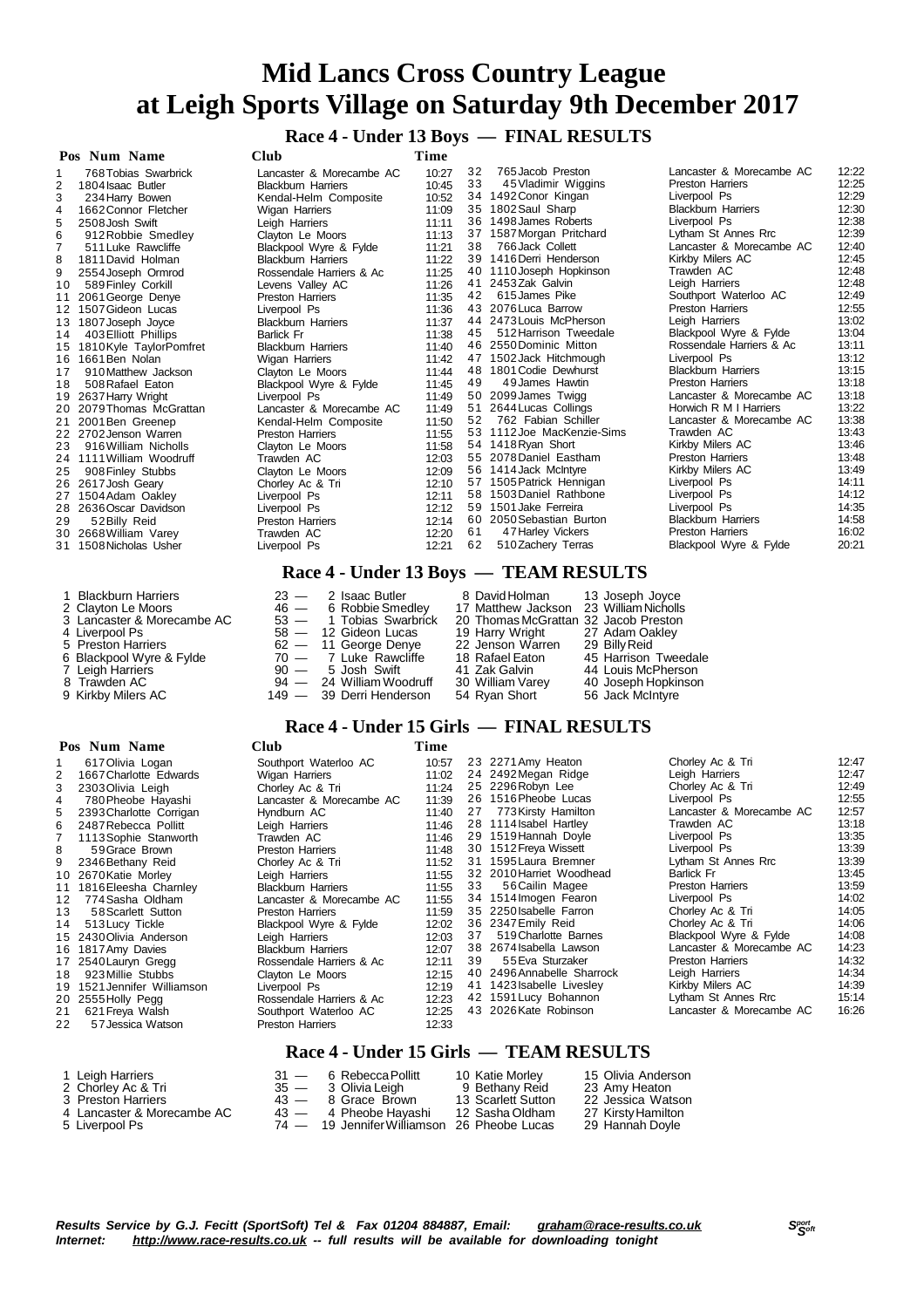**Race 4 - Under 13 Boys — FINAL RESULTS**

| Pos Num Name                 | <b>Club</b>               | Time  |    |                                       |                                                      |                |
|------------------------------|---------------------------|-------|----|---------------------------------------|------------------------------------------------------|----------------|
| 768 Tobias Swarbrick         | Lancaster & Morecambe AC  | 10:27 | 32 | 765 Jacob Preston                     | Lancaster & Morecambe AC                             | 12:22          |
| 1804 Isaac Butler            | <b>Blackburn Harriers</b> | 10:45 | 33 | 45 Vladimir Wiggins                   | <b>Preston Harriers</b>                              | 12:25          |
| 3<br>234 Harry Bowen         | Kendal-Helm Composite     | 10:52 |    | 34 1492 Conor Kingan                  | Liverpool Ps                                         | 12:29          |
| 1662 Connor Fletcher<br>4    | <b>Wigan Harriers</b>     | 11:09 |    | 35 1802 Saul Sharp                    | <b>Blackburn Harriers</b>                            | 12:30          |
| 2508 Josh Swift<br>5         | Leigh Harriers            | 11:11 |    | 36 1498 James Roberts                 | Liverpool Ps                                         | 12:38          |
| 912 Robbie Smedley<br>6      | Clayton Le Moors          | 11:13 |    | 37 1587 Morgan Pritchard              | Lytham St Annes Rrc                                  | 12:39          |
| 511 Luke Rawcliffe           | Blackpool Wyre & Fylde    | 11:21 | 38 | 766 Jack Collett                      | Lancaster & Morecambe AC                             | 12:40          |
| 8<br>1811 David Holman       | <b>Blackburn Harriers</b> | 11:22 |    | 39 1416 Derri Henderson               | Kirkby Milers AC                                     | 12:45          |
| 9<br>2554 Joseph Ormrod      | Rossendale Harriers & Ac  | 11:25 |    | 40 1110 Joseph Hopkinson              | Trawden AC                                           | 12:48          |
| 589 Finley Corkill<br>10     | Levens Valley AC          | 11:26 | 41 | 2453Zak Galvin                        | Leigh Harriers                                       | 12:48          |
| 2061 George Denye<br>11      | <b>Preston Harriers</b>   | 11:35 | 42 | 615 James Pike                        | Southport Waterloo AC                                | 12:49          |
| 1507 Gideon Lucas            | Liverpool Ps              | 11:36 |    | 43 2076 Luca Barrow                   | <b>Preston Harriers</b>                              | 12:55          |
| 1807 Joseph Joyce<br>13      | <b>Blackburn Harriers</b> | 11:37 |    | 44 2473 Louis McPherson               | Leigh Harriers                                       | 13:02          |
| 403 Elliott Phillips<br>14   | <b>Barlick Fr</b>         | 11:38 | 45 | 512 Harrison Tweedale                 | Blackpool Wyre & Fylde                               | 13:04          |
| 1810Kyle TaylorPomfret<br>15 | <b>Blackburn Harriers</b> | 11:40 |    | 46 2550 Dominic Mitton                | Rossendale Harriers & Ac                             | 13:11          |
| 1661 Ben Nolan<br>16         | <b>Wigan Harriers</b>     | 11:42 |    | 47 1502 Jack Hitchmough               | Liverpool Ps                                         | 13:12          |
| 910 Matthew Jackson<br>17    | Clayton Le Moors          | 11:44 |    | 48 1801 Codie Dewhurst                | <b>Blackburn Harriers</b>                            | 13:15          |
| 508 Rafael Eaton<br>18       | Blackpool Wyre & Fylde    | 11:45 | 49 | 49 James Hawtin                       | <b>Preston Harriers</b>                              | 13:18          |
| 2637 Harry Wright<br>19      | Liverpool Ps              | 11:49 |    | 50 2099 James Twigg                   | Lancaster & Morecambe AC                             | 13:18          |
| 2079 Thomas McGrattan<br>20  | Lancaster & Morecambe AC  | 11:49 | 51 | 2644 Lucas Collings                   | Horwich R M I Harriers                               | 13:22          |
| 2001 Ben Greenep<br>21       | Kendal-Helm Composite     | 11:50 | 52 | 762 Fabian Schiller                   | Lancaster & Morecambe AC                             | 13:38          |
| 22 2702 Jenson Warren        | <b>Preston Harriers</b>   | 11:55 |    | 53 1112 Joe MacKenzie-Sims            | Trawden AC                                           | 13:43          |
| 916 William Nicholls<br>23   | Clayton Le Moors          | 11:58 |    | 54 1418 Ryan Short                    | Kirkby Milers AC                                     | 13:46          |
| 1111 William Woodruff<br>24  | Trawden AC                | 12:03 |    | 55 2078 Daniel Eastham                | <b>Preston Harriers</b>                              | 13:48          |
| 25<br>908 Finley Stubbs      | Clayton Le Moors          | 12:09 |    | 56 1414 Jack McIntyre                 | Kirkby Milers AC                                     | 13:49          |
| 26 2617 Josh Geary           | Chorley Ac & Tri          | 12:10 |    | 57 1505 Patrick Hennigan              | Liverpool Ps                                         | 14:11          |
| 1504 Adam Oakley<br>27       | Liverpool Ps              | 12:11 |    | 58 1503 Daniel Rathbone               | Liverpool Ps                                         | 14:12          |
| 2636 Oscar Davidson<br>28    | Liverpool Ps              | 12:12 |    | 59 1501 Jake Ferreira                 | Liverpool Ps                                         | 14:35<br>14:58 |
| 52 Billy Reid<br>29          | <b>Preston Harriers</b>   | 12:14 | 61 | 60 2050 Sebastian Burton              | <b>Blackburn Harriers</b><br><b>Preston Harriers</b> | 16:02          |
| 2668 William Varey<br>30     | Trawden AC                | 12:20 | 62 | 47 Harley Vickers                     |                                                      | 20:21          |
| 1508 Nicholas Usher<br>31    | Liverpool Ps              | 12:21 |    | 510 Zachery Terras                    | Blackpool Wyre & Fylde                               |                |
|                              |                           |       |    | Race 4 - Under 13 Boys — TEAM RESULTS |                                                      |                |

| 1 Blackburn Harriers       | $23 - 2$ Isaac Butler    | 8 David Holman 13 Joseph Joyce         |                      |
|----------------------------|--------------------------|----------------------------------------|----------------------|
| 2 Clayton Le Moors         | 46 - 6 Robbie Smedley    | 17 Matthew Jackson 23 William Nicholls |                      |
| 3 Lancaster & Morecambe AC | 53 - 1 Tobias Swarbrick  | 20 Thomas McGrattan 32 Jacob Preston   |                      |
| 4 Liverpool Ps             | $58 - 12$ Gideon Lucas   | 19 Harry Wright 27 Adam Oakley         |                      |
| 5 Preston Harriers         | $62 - 11$ George Denye   | 22 Jenson Warren                       | 29 Billy Reid        |
| 6 Blackpool Wyre & Fylde   | $70 - 7$ Luke Rawcliffe  | 18 Rafael Eaton                        | 45 Harrison Tweedale |
| 7 Leigh Harriers           | 90 — 5 Josh Swift        | 41 Zak Galvin                          | 44 Louis McPherson   |
| 8 Trawden AC               | 94 — 24 William Woodruff | 30 William Varey                       | 40 Joseph Hopkinson  |
| 9 Kirkby Milers AC         | 149 - 39 Derri Henderson | 54 Ryan Short                          | 56 Jack McIntyre     |

#### **Pos Num Name Club Time**

|                | гоз імпін іманіс            | viuv                      | т пис |    |                            |                          |       |
|----------------|-----------------------------|---------------------------|-------|----|----------------------------|--------------------------|-------|
|                | 617 Olivia Logan            | Southport Waterloo AC     | 10:57 |    | 23 2271 Amy Heaton         | Chorley Ac & Tri         | 12:47 |
| $\overline{2}$ | 1667 Charlotte Edwards      | Wigan Harriers            | 11:02 |    | 24 2492 Megan Ridge        | Leigh Harriers           | 12:47 |
| 3              | 2303 Olivia Leigh           | Chorley Ac & Tri          | 11:24 |    | 25 2296 Robyn Lee          | Chorley Ac & Tri         | 12:49 |
| 4              | 780 Pheobe Hayashi          | Lancaster & Morecambe AC  | 11:39 |    | 26 1516 Pheobe Lucas       | Liverpool Ps             | 12:55 |
| 5              | 2393 Charlotte Corrigan     | Hyndburn AC               | 11:40 | 27 | 773 Kirsty Hamilton        | Lancaster & Morecambe AC | 12:57 |
| 6.             | 2487 Rebecca Pollitt        | Leigh Harriers            | 11:46 |    | 28 1114 Isabel Hartley     | Trawden AC               | 13:18 |
|                | 1113 Sophie Stanworth       | Trawden AC                | 11:46 |    | 29 1519 Hannah Doyle       | Liverpool Ps             | 13:35 |
| 8              | 59 Grace Brown              | Preston Harriers          | 11:48 |    | 30 1512 Freya Wissett      | Liverpool Ps             | 13:39 |
|                | 9 2346 Bethany Reid         | Chorley Ac & Tri          | 11:52 |    | 31 1595 Laura Bremner      | Lytham St Annes Rrc      | 13:39 |
|                | 10 2670 Katie Morley        | Leigh Harriers            | 11:55 |    | 32 2010 Harriet Woodhead   | Barlick Fr               | 13:45 |
|                | 11 1816 Eleesha Charnley    | <b>Blackburn Harriers</b> | 11:55 | 33 | 56 Cailin Magee            | <b>Preston Harriers</b>  | 13:59 |
|                | 12 774 Sasha Oldham         | Lancaster & Morecambe AC  | 11:55 |    | 34 1514 Imogen Fearon      | Liverpool Ps             | 14:02 |
| 13             | 58 Scarlett Sutton          | <b>Preston Harriers</b>   | 11:59 |    | 35 2250 Isabelle Farron    | Chorley Ac & Tri         | 14:05 |
| 14             | 513 Lucy Tickle             | Blackpool Wyre & Fylde    | 12:02 |    | 36 2347 Emily Reid         | Chorley Ac & Tri         | 14:06 |
|                | 15 2430 Olivia Anderson     | Leigh Harriers            | 12:03 | 37 | 519 Charlotte Barnes       | Blackpool Wyre & Fylde   | 14:08 |
|                | 16 1817 Amy Davies          | <b>Blackburn Harriers</b> | 12:07 |    | 38 2674 Isabella Lawson    | Lancaster & Morecambe AC | 14:23 |
|                | 17 2540 Lauryn Gregg        | Rossendale Harriers & Ac  | 12:11 | 39 | 55 Eva Sturzaker           | <b>Preston Harriers</b>  | 14:32 |
| 18             | 923 Millie Stubbs           | Clayton Le Moors          | 12:15 |    | 40 2496 Annabelle Sharrock | Leigh Harriers           | 14:34 |
|                | 19 1521 Jennifer Williamson | Liverpool Ps              | 12:19 |    | 41 1423 Isabelle Livesley  | Kirkby Milers AC         | 14:39 |
|                | 20 2555 Holly Pegg          | Rossendale Harriers & Ac  | 12:23 |    | 42 1591 Lucy Bohannon      | Lytham St Annes Rrc      | 15:14 |
| 21             | 621 Freya Walsh             | Southport Waterloo AC     | 12:25 |    | 43 2026 Kate Robinson      | Lancaster & Morecambe AC | 16:26 |
| 22             | 57 Jessica Watson           | <b>Preston Harriers</b>   | 12:33 |    |                            |                          |       |
|                |                             |                           |       |    |                            |                          |       |

 **Race 4 - Under 15 Girls — FINAL RESULTS**

# **Race 4 - Under 15 Girls — TEAM RESULTS**

| 1 Leigh Harriers           | 31 — 6 Rebecca Pollitt                      | 10 Katie Morley    | 15 Olivia Anderson |
|----------------------------|---------------------------------------------|--------------------|--------------------|
| 2  Chorley Ac & Tri        | 35 — 3 Olivia Leigh                         | 9 Bethany Reid     | 23 Amy Heaton      |
| 3 Preston Harriers         | $43 - 8$ Grace Brown                        | 13 Scarlett Sutton | 22 Jessica Watson  |
| 4 Lancaster & Morecambe AC | 43 — 4 Pheobe Havashi                       | 12 Sasha Oldham    | 27 Kirsty Hamilton |
| 5 Liverpool Ps             | 74 — 19 Jennifer Williamson 26 Pheobe Lucas |                    | 29 Hannah Doyle    |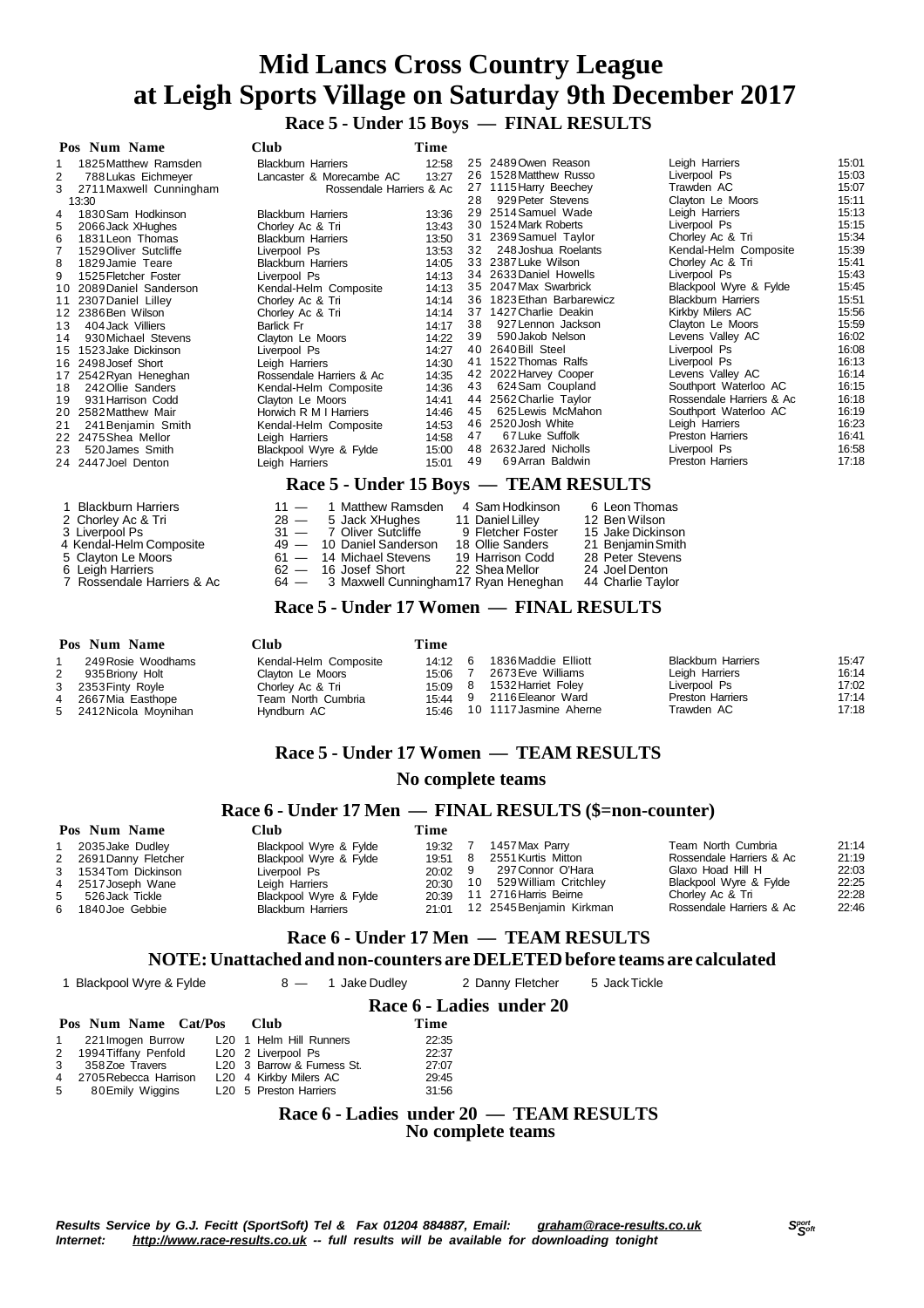**Race 5 - Under 15 Boys — FINAL RESULTS**

| Pos Num Name                | Club                                                        | Time  |    |                                        |                           |       |  |  |  |
|-----------------------------|-------------------------------------------------------------|-------|----|----------------------------------------|---------------------------|-------|--|--|--|
| 1825 Matthew Ramsden        | <b>Blackburn Harriers</b>                                   | 12:58 |    | 25 2489 Owen Reason                    | Leigh Harriers            | 15:01 |  |  |  |
| 2<br>788 Lukas Eichmeyer    | Lancaster & Morecambe AC                                    | 13:27 |    | 26 1528 Matthew Russo                  | Liverpool Ps              | 15:03 |  |  |  |
| 2711 Maxwell Cunningham     | Rossendale Harriers & Ac                                    |       |    | 27 1115 Harry Beechey                  | Trawden AC                | 15:07 |  |  |  |
| 13:30                       |                                                             |       | 28 | 929 Peter Stevens                      | Clayton Le Moors          | 15:11 |  |  |  |
| 1830 Sam Hodkinson          | <b>Blackburn Harriers</b>                                   | 13:36 | 29 | 2514 Samuel Wade                       | Leigh Harriers            | 15:13 |  |  |  |
| 2066 Jack XHughes<br>5      | Chorley Ac & Tri                                            | 13:43 |    | 30 1524 Mark Roberts                   | Liverpool Ps              | 15:15 |  |  |  |
| 6<br>1831 Leon Thomas       | <b>Blackburn Harriers</b>                                   | 13:50 |    | 31 2369 Samuel Taylor                  | Chorley Ac & Tri          | 15:34 |  |  |  |
| 1529 Oliver Sutcliffe       | Liverpool Ps                                                | 13:53 | 32 | 248 Joshua Roelants                    | Kendal-Helm Composite     | 15:39 |  |  |  |
| 8<br>1829 Jamie Teare       | <b>Blackburn Harriers</b>                                   | 14:05 |    | 33 2387 Luke Wilson                    | Chorley Ac & Tri          | 15:41 |  |  |  |
| 9<br>1525 Fletcher Foster   | Liverpool Ps                                                | 14:13 |    | 34 2633 Daniel Howells                 | Liverpool Ps              | 15:43 |  |  |  |
| 2089 Daniel Sanderson<br>10 | Kendal-Helm Composite                                       | 14:13 |    | 35 2047 Max Swarbrick                  | Blackpool Wyre & Fylde    | 15:45 |  |  |  |
| 2307 Daniel Lilley<br>11    | Chorley Ac & Tri                                            | 14:14 |    | 36 1823 Ethan Barbarewicz              | <b>Blackburn Harriers</b> | 15:51 |  |  |  |
| 2386 Ben Wilson<br>12       | Chorley Ac & Tri                                            | 14:14 |    | 37 1427 Charlie Deakin                 | Kirkby Milers AC          | 15:56 |  |  |  |
| 404 Jack Villiers<br>13     | <b>Barlick Fr</b>                                           | 14:17 | 38 | 927 Lennon Jackson                     | Clayton Le Moors          | 15:59 |  |  |  |
| 930 Michael Stevens<br>14   | Clayton Le Moors                                            | 14:22 | 39 | 590 Jakob Nelson                       | Levens Valley AC          | 16:02 |  |  |  |
| 1523 Jake Dickinson<br>15   | Liverpool Ps                                                | 14:27 |    | 40 2640 Bill Steel                     | Liverpool Ps              | 16:08 |  |  |  |
| 2498 Josef Short<br>16      | Leigh Harriers                                              | 14:30 | 41 | 1522 Thomas Ralfs                      | Liverpool Ps              | 16:13 |  |  |  |
| 2542 Ryan Heneghan<br>17    | Rossendale Harriers & Ac                                    | 14:35 |    | 42 2022 Harvey Cooper                  | Levens Valley AC          | 16:14 |  |  |  |
| 242 Ollie Sanders<br>18     | Kendal-Helm Composite                                       | 14:36 | 43 | 624 Sam Coupland                       | Southport Waterloo AC     | 16:15 |  |  |  |
| 931 Harrison Codd<br>19     | Clayton Le Moors                                            | 14:41 |    | 44 2562 Charlie Taylor                 | Rossendale Harriers & Ac  | 16:18 |  |  |  |
| 2582 Matthew Mair<br>20     | Horwich R M I Harriers                                      | 14:46 | 45 | 625 Lewis McMahon                      | Southport Waterloo AC     | 16:19 |  |  |  |
| 21<br>241 Benjamin Smith    | Kendal-Helm Composite                                       | 14:53 |    | 46 2520 Josh White                     | Leigh Harriers            | 16:23 |  |  |  |
| 2475 Shea Mellor<br>22      | Leigh Harriers                                              | 14:58 | 47 | 67 Luke Suffolk                        | <b>Preston Harriers</b>   | 16:41 |  |  |  |
| 23<br>520 James Smith       | Blackpool Wyre & Fylde                                      | 15:00 | 48 | 2632 Jared Nicholls                    | Liverpool Ps              | 16:58 |  |  |  |
| 24 2447 Joel Denton         | Leigh Harriers                                              | 15:01 | 49 | 69 Arran Baldwin                       | <b>Preston Harriers</b>   | 17:18 |  |  |  |
|                             | Race 5 - Under 15 Boys — TEAM RESULTS                       |       |    |                                        |                           |       |  |  |  |
| <b>Blackburn Harriers</b>   | 1 Matthew Ramsden<br>$11 -$                                 |       |    | 4 Sam Hodkinson<br>6 Leon Thomas       |                           |       |  |  |  |
| 2 Chorley Ac & Tri          | $28 -$<br>5 Jack XHughes                                    |       |    | 12 Ben Wilson<br>11 Daniel Lilley      |                           |       |  |  |  |
| 3 Liverpool Ps              | 31<br>7 Oliver Sutcliffe<br>$\overline{\phantom{m}}$        |       |    | 15 Jake Dickinson<br>9 Fletcher Foster |                           |       |  |  |  |
| 4 Kendal-Helm Composite     | 10 Daniel Sanderson<br>49<br>$\qquad \qquad \longleftarrow$ |       |    | 18 Ollie Sanders<br>21 Benjamin Smith  |                           |       |  |  |  |

- 
- 4 Kendal-Helm Composite 49 10 Daniel Sanderson 18 Ollie Sanders 21 Benjamin Smith<br>5 Clayton Le Moors 61 14 Michael Stevens 19 Harrison Codd 28 Peter Stevens
- 
- Leigh Harriers 62 16 Josef Short 22 Shea Mellor 24 Joel Denton
- 5 Clayton Le Moors<br>
61 14 Michael Stevens 19 Harrison Codd 28 Peter Stevens<br>
62 16 Josef Short 22 Shea Mellor 24 Joel Denton<br>
7 Rossendale Harriers & Ac 64 3 Maxwell Cunningham17 Ryan Heneghan 44 Charlie Taylor 7 Rossendale Harriers & Ac  $\qquad \qquad 64$  — 3 Maxwell Cunningham17 Ryan Heneghan 44 Charlie Taylor
	- **Race 5 - Under 17 Women — FINAL RESULTS**

#### **Pos Num Name Club Time** 249Rosie Woodhams Kendal-Helm Composite 14:12 2 935 Briony Holt Clayton Le Moors 15:06<br>2353 Finty Royle Chorley Ac & Tri 15:09 2353 Finty Royle<br>2667 Mia Easthope 2667Mia Easthope Team North Cumbria 15:44 2412 Nicola Moynihan 1836Maddie Elliott Blackburn Harriers 15:47 2673Eve Williams Leigh Harriers 16:14 1532Harriet Foley Liverpool Ps 17:02 9 2116 Eleanor Ward Preston Harriers 17:14<br>10 1117 Jasmine Aherne Trawden AC 17:18 10 1117 Jasmine Aherne

## **Race 5 - Under 17 Women — TEAM RESULTS**

#### **No complete teams**

### **Race 6 - Under 17 Men — FINAL RESULTS (\$=non-counter)**

|   | Pos Num Name          | ∑lub                      | Time      |    |                          |                          |       |
|---|-----------------------|---------------------------|-----------|----|--------------------------|--------------------------|-------|
|   | 2035 Jake Dudley      | Blackpool Wyre & Fylde    | 19:32     |    | 1457 Max Parry           | Team North Cumbria       | 21:14 |
|   | 2 2691 Danny Fletcher | Blackpool Wyre & Fylde    | 19:51     |    | 2551 Kurtis Mitton       | Rossendale Harriers & Ac | 21:19 |
|   | 3 1534 Tom Dickinson  | Liverpool Ps              | $20:02$ 9 |    | 297 Connor O'Hara        | Glaxo Hoad Hill H        | 22:03 |
|   | 4 2517 Joseph Wane    | Leigh Harriers            | 20:30     | 10 | 529 William Critchley    | Blackpool Wyre & Fylde   | 22:25 |
| 5 | 526 Jack Tickle       | Blackpool Wyre & Fylde    | 20:39     |    | 11 2716 Harris Beirne    | Chorley Ac & Tri         | 22:28 |
|   | 6 1840 Joe Gebbie     | <b>Blackburn Harriers</b> | 21:01     |    | 12 2545 Benjamin Kirkman | Rossendale Harriers & Ac | 22:46 |

# **Race 6 - Under 17 Men — TEAM RESULTS**

#### **NOTE:Unattached and non-counters are DELETEDbefore teams are calculated**

**Race 6 - Ladies under 20**

1 Blackpool Wyre & Fylde 8 — 1 Jake Dudley 2 Danny Fletcher 5 Jack Tickle

| Pos Num Name Cat/Pos Club |                            | Time  |
|---------------------------|----------------------------|-------|
| 1 221 Imogen Burrow       | L20 1 Helm Hill Runners    | 22:35 |
| 2 1994 Tiffany Penfold    | L20 2 Liverpool Ps         | 22:37 |
| 3 358 Zoe Travers         | L20 3 Barrow & Furness St. | 27:07 |
| 4 2705 Rebecca Harrison   | L20 4 Kirkby Milers AC     | 29:45 |
| 5 80 Emily Wiggins        | L20 5 Preston Harriers     | 31:56 |

### **Race 6 - Ladies under 20 — TEAM RESULTS No complete teams**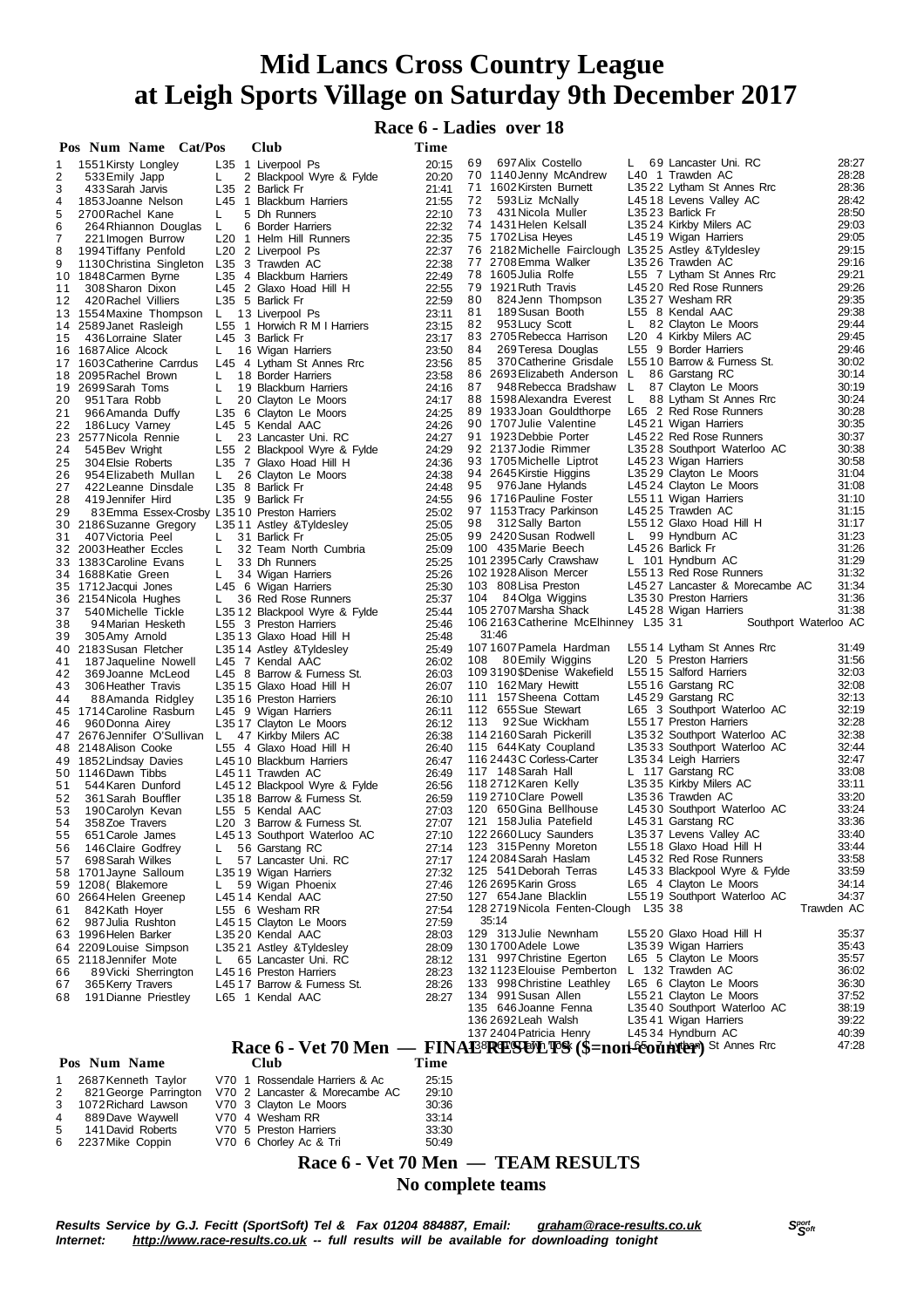**Race 6 - Ladies over 18**

|          | Pos Num Name Cat/Pos                         |         | <b>Club</b>                                               | Time           |                                                            |              |                                                  |                       |
|----------|----------------------------------------------|---------|-----------------------------------------------------------|----------------|------------------------------------------------------------|--------------|--------------------------------------------------|-----------------------|
| 1        | 1551 Kirsty Longley                          |         | L35 1 Liverpool Ps                                        | 20:15          | 697 Alix Costello<br>69                                    | L.           | 69 Lancaster Uni. RC                             | 28:27                 |
| 2        | 533 Emily Japp                               | L.      | 2 Blackpool Wyre & Fylde                                  | 20:20          | 70 1140 Jenny McAndrew                                     |              | L40 1 Trawden AC                                 | 28:28                 |
| 3        | 433 Sarah Jarvis                             |         | L35 2 Barlick Fr                                          | 21:41          | 71 1602 Kirsten Burnett                                    |              | L3522 Lytham St Annes Rrc                        | 28:36                 |
| 4        | 1853 Joanne Nelson                           |         | L45 1 Blackburn Harriers                                  | 21:55          | 72<br>593 Liz McNally                                      |              | L4518 Levens Valley AC                           | 28:42                 |
| 5        | 2700 Rachel Kane                             | L       | 5 Dh Runners                                              | 22:10          | 73<br>431 Nicola Muller<br>74 1431 Helen Kelsall           |              | L3523 Barlick Fr                                 | 28:50<br>29:03        |
| 6<br>7   | 264 Rhiannon Douglas                         | L       | 6 Border Harriers                                         | 22:32          | 75 1702 Lisa Heyes                                         |              | L3524 Kirkby Milers AC<br>L4519 Wigan Harriers   | 29:05                 |
| 8        | 221 Imogen Burrow<br>1994 Tiffany Penfold    |         | L <sub>20</sub> 1 Helm Hill Runners<br>L20 2 Liverpool Ps | 22:35<br>22:37 | 76 2182 Michelle Fairclough L3525 Astley & Tyldesley       |              |                                                  | 29:15                 |
| 9        | 1130 Christina Singleton                     |         | L35 3 Trawden AC                                          | 22:38          | 77 2708 Emma Walker                                        |              | L3526 Trawden AC                                 | 29:16                 |
|          | 10 1848 Carmen Byrne                         |         | L35 4 Blackburn Harriers                                  | 22:49          | 78 1605 Julia Rolfe                                        |              | L55 7 Lytham St Annes Rrc                        | 29:21                 |
| 11       | 308 Sharon Dixon                             |         | L45 2 Glaxo Hoad Hill H                                   | 22:55          | 79 1921 Ruth Travis                                        |              | L4520 Red Rose Runners                           | 29:26                 |
| 12       | 420 Rachel Villiers                          |         | L35 5 Barlick Fr                                          | 22:59          | 80<br>824 Jenn Thompson                                    |              | L3527 Wesham RR                                  | 29:35                 |
|          | 13 1554 Maxine Thompson                      | L.      | 13 Liverpool Ps                                           | 23:11          | 81<br>189 Susan Booth                                      |              | L55 8 Kendal AAC                                 | 29:38                 |
|          | 14 2589 Janet Rasleigh                       |         | L55 1 Horwich R M I Harriers                              | 23:15          | 82<br>953 Lucy Scott                                       | L.           | 82 Clayton Le Moors                              | 29:44                 |
| 15       | 436 Lorraine Slater                          |         | L45 3 Barlick Fr                                          | 23:17          | 83 2705 Rebecca Harrison                                   |              | L <sub>20</sub> 4 Kirkby Milers AC               | 29:45                 |
|          | 16 1687 Alice Alcock                         | L.      | 16 Wigan Harriers                                         | 23:50          | 84<br>269 Teresa Douglas                                   |              | L55 9 Border Harriers                            | 29:46                 |
|          | 17 1603 Catherine Carrdus                    |         | L45 4 Lytham St Annes Rrc                                 | 23:56          | 85<br>370 Catherine Grisdale<br>86 2693 Elizabeth Anderson | $\mathsf{L}$ | L5510 Barrow & Furness St.<br>86 Garstang RC     | 30:02<br>30:14        |
|          | 18 2095 Rachel Brown<br>19 2699 Sarah Toms   | L<br>L  | 18 Border Harriers<br>19 Blackburn Harriers               | 23:58<br>24:16 | 87<br>948 Rebecca Bradshaw                                 | L.           | 87 Clayton Le Moors                              | 30:19                 |
| 20       | 951 Tara Robb                                | L.      | 20 Clayton Le Moors                                       | 24:17          | 88 1598 Alexandra Everest                                  | L.           | 88 Lytham St Annes Rrc                           | 30:24                 |
| 21       | 966 Amanda Duffy                             |         | L35 6 Clayton Le Moors                                    | 24:25          | 89 1933 Joan Gouldthorpe                                   |              | L65 2 Red Rose Runners                           | 30:28                 |
| 22       | 186 Lucy Varney                              |         | L45 5 Kendal AAC                                          | 24:26          | 90 1707 Julie Valentine                                    |              | L4521 Wigan Harriers                             | 30:35                 |
|          | 23 2577 Nicola Rennie                        | L.      | 23 Lancaster Uni. RC                                      | 24:27          | 91 1923 Debbie Porter                                      |              | L4522 Red Rose Runners                           | 30:37                 |
| 24       | 545 Bev Wright                               |         | L55 2 Blackpool Wyre & Fylde                              | 24:29          | 92 2137 Jodie Rimmer                                       |              | L3528 Southport Waterloo AC                      | 30:38                 |
| 25       | 304 Elsie Roberts                            |         | L35 7 Glaxo Hoad Hill H                                   | 24:36          | 93 1705 Michelle Liptrot                                   |              | L4523 Wigan Harriers                             | 30:58                 |
| 26       | 954 Elizabeth Mullan                         | L.      | 26 Clayton Le Moors                                       | 24:38          | 94 2645 Kirstie Higgins                                    |              | L3529 Clayton Le Moors                           | 31:04                 |
| 27       | 422 Leanne Dinsdale                          |         | L35 8 Barlick Fr                                          | 24:48          | 95<br>976 Jane Hylands                                     |              | L4524 Clayton Le Moors                           | 31:08                 |
| 28       | 419 Jennifer Hird                            |         | L35 9 Barlick Fr                                          | 24:55          | 96 1716 Pauline Foster                                     |              | L5511 Wigan Harriers                             | 31:10                 |
| 29       | 83 Emma Essex-Crosby L35 10 Preston Harriers |         |                                                           | 25:02          | 97 1153 Tracy Parkinson                                    |              | L4525 Trawden AC<br>L5512 Glaxo Hoad Hill H      | 31:15<br>31:17        |
| 30       | 2186 Suzanne Gregory                         |         | L3511 Astley & Tyldesley<br>31 Barlick Fr                 | 25:05          | 98<br>312 Sally Barton<br>99 2420 Susan Rodwell            | L.           | 99 Hyndburn AC                                   | 31:23                 |
| 31       | 407 Victoria Peel<br>32 2003 Heather Eccles  | L.<br>L | 32 Team North Cumbria                                     | 25:05<br>25:09 | 100 435 Marie Beech                                        |              | L4526 Barlick Fr                                 | 31:26                 |
|          | 33 1383 Caroline Evans                       | L       | 33 Dh Runners                                             | 25:25          | 101 2395 Carly Crawshaw                                    |              | L 101 Hyndburn AC                                | 31:29                 |
|          | 34 1688 Katie Green                          | L.      | 34 Wigan Harriers                                         | 25:26          | 102 1928 Alison Mercer                                     |              | L5513 Red Rose Runners                           | 31:32                 |
|          | 35 1712 Jacqui Jones                         |         | L45 6 Wigan Harriers                                      | 25:30          | 103 808 Lisa Preston                                       |              | L4527 Lancaster & Morecambe AC                   | 31:34                 |
|          | 36 2154 Nicola Hughes                        | L.      | 36 Red Rose Runners                                       | 25:37          | 84Olga Wiggins<br>104                                      |              | L3530 Preston Harriers                           | 31:36                 |
| 37       | 540 Michelle Tickle                          |         | L3512 Blackpool Wyre & Fylde                              | 25:44          | 105 2707 Marsha Shack                                      |              | L4528 Wigan Harriers                             | 31:38                 |
| 38       | 94 Marian Hesketh                            |         | L55 3 Preston Harriers                                    | 25:46          | 106 2163 Catherine McElhinney L35 31                       |              |                                                  | Southport Waterloo AC |
| 39       | 305 Amy Arnold                               |         | L3513 Glaxo Hoad Hill H                                   | 25:48          | 31:46                                                      |              |                                                  |                       |
|          | 40 2183 Susan Fletcher                       |         | L3514 Astley & Tyldesley                                  | 25:49          | 1071607 Pamela Hardman                                     |              | L5514 Lytham St Annes Rrc                        | 31:49                 |
| 41       | 187 Jaqueline Nowell                         |         | L45 7 Kendal AAC                                          | 26:02          | 108<br>80 Emily Wiggins                                    |              | L <sub>20</sub> 5 Preston Harriers               | 31:56                 |
| 42       | 369 Joanne McLeod                            |         | L45 8 Barrow & Furness St.                                | 26:03          | 1093190\$Denise Wakefield<br>110 162 Mary Hewitt           |              | L5515 Salford Harriers<br>L5516 Garstang RC      | 32:03<br>32:08        |
| 43<br>44 | 306 Heather Travis<br>88Amanda Ridgley       |         | L3515 Glaxo Hoad Hill H<br>L3516 Preston Harriers         | 26:07<br>26:10 | 111 157 Sheena Cottam                                      |              | L4529 Garstang RC                                | 32:13                 |
|          | 45 1714 Caroline Rasburn                     |         | L45 9 Wigan Harriers                                      | 26:11          | 112 655 Sue Stewart                                        |              | L65 3 Southport Waterloo AC                      | 32:19                 |
| 46       | 960 Donna Airey                              |         | L3517 Clayton Le Moors                                    | 26:12          | 113<br>92 Sue Wickham                                      |              | L5517 Preston Harriers                           | 32:28                 |
|          | 47 2676 Jennifer O'Sullivan                  | L.      | 47 Kirkby Milers AC                                       | 26:38          | 114 2160 Sarah Pickerill                                   |              | L3532 Southport Waterloo AC                      | 32:38                 |
|          | 48 2148 Alison Cooke                         |         | L55 4 Glaxo Hoad Hill H                                   | 26:40          | 115 644 Katy Coupland                                      |              | L3533 Southport Waterloo AC                      | 32:44                 |
|          | 49 1852 Lindsay Davies                       |         | L4510 Blackburn Harriers                                  | 26:47          | 116 2443 C Corless-Carter                                  |              | L3534 Leigh Harriers                             | 32:47                 |
|          | 50 1146 Dawn Tibbs                           |         | L4511 Trawden AC                                          | 26:49          | 117 148 Sarah Hall                                         |              | L 117 Garstang RC                                | 33:08                 |
| 51       | 544 Karen Dunford                            |         | L4512 Blackpool Wyre & Fylde                              | 26:56          | 118 2712 Karen Kelly                                       |              | L3535 Kirkby Milers AC                           | 33:11                 |
| 52       | 361 Sarah Bouffler                           |         | L35 18 Barrow & Furness St.                               | 26:59          | 119 2710 Clare Powell                                      |              | L3536 Trawden AC                                 | 33:20                 |
| 53       | 190 Carolyn Kevan                            |         | L55 5 Kendal AAC                                          | 27:03          | 120 650 Gina Bellhouse                                     |              | L4530 Southport Waterloo AC<br>L4531 Garstang RC | 33:24<br>33:36        |
| 54<br>55 | 358 Zoe Travers                              |         | L20 3 Barrow & Furness St.                                | 27:07<br>27:10 | 121 158 Julia Patefield<br>122 2660 Lucy Saunders          |              | L3537 Levens Valley AC                           | 33:40                 |
| 56       | 651 Carole James<br>146 Claire Godfrey       | L       | L4513 Southport Waterloo AC<br>56 Garstang RC             | 27:14          | 123 315 Penny Moreton                                      |              | L5518 Glaxo Hoad Hill H                          | 33:44                 |
| 57       | 698 Sarah Wilkes                             | L       | 57 Lancaster Uni. RC                                      | 27:17          | 124 2084 Sarah Haslam                                      |              | L4532 Red Rose Runners                           | 33:58                 |
|          | 58 1701 Jayne Salloum                        |         | L3519 Wigan Harriers                                      | 27:32          | 125 541 Deborah Terras                                     |              | L4533 Blackpool Wyre & Fylde                     | 33:59                 |
|          | 59 1208 (Blakemore                           | L.      | 59 Wigan Phoenix                                          | 27:46          | 126 2695 Karin Gross                                       |              | L65 4 Clayton Le Moors                           | 34:14                 |
|          | 60 2664 Helen Greenep                        |         | L4514 Kendal AAC                                          | 27:50          | 127 654 Jane Blacklin                                      |              | L5519 Southport Waterloo AC                      | 34:37                 |
| 61       | 842 Kath Hoyer                               |         | L55 6 Wesham RR                                           | 27:54          | 128 2719 Nicola Fenten-Clough L35 38                       |              |                                                  | Trawden AC            |
| 62       | 987 Julia Rushton                            |         | L4515 Clayton Le Moors                                    | 27:59          | 35:14                                                      |              |                                                  |                       |
|          | 63 1996 Helen Barker                         |         | L3520 Kendal AAC                                          | 28:03          | 129 313 Julie Newnham                                      |              | L5520 Glaxo Hoad Hill H                          | 35:37                 |
|          | 64 2209 Louise Simpson                       |         | L3521 Astley & Tyldesley                                  | 28:09          | 130 1700 Adele Lowe                                        |              | L3539 Wigan Harriers                             | 35:43                 |
|          | 65 2118 Jennifer Mote                        | L.      | 65 Lancaster Uni. RC                                      | 28:12          | 131 997 Christine Egerton                                  |              | L65 5 Clayton Le Moors                           | 35:57                 |
| 66       | 89 Vicki Sherrington                         |         | L4516 Preston Harriers                                    | 28:23          | 1321123 Elouise Pemberton<br>133 998 Christine Leathley    |              | L 132 Trawden AC<br>L65 6 Clayton Le Moors       | 36:02<br>36:30        |
| 67<br>68 | 365 Kerry Travers<br>191 Dianne Priestley    |         | L4517 Barrow & Furness St.<br>L65 1 Kendal AAC            | 28:26<br>28:27 | 134 991 Susan Allen                                        |              | L5521 Clayton Le Moors                           | 37:52                 |
|          |                                              |         |                                                           |                | 135 646 Joanne Fenna                                       |              | L3540 Southport Waterloo AC                      | 38:19                 |
|          |                                              |         |                                                           |                | 136 2692 Leah Walsh                                        |              | L3541 Wigan Harriers                             | 39:22                 |
|          |                                              |         |                                                           |                | 137 2404 Patricia Henry                                    |              | L4534 Hyndburn AC                                | 40:39                 |

|   | Pos Num Name            | Club                           | Time  |
|---|-------------------------|--------------------------------|-------|
|   | 1 2687 Kenneth Taylor   | V70 1 Rossendale Harriers & Ac | 25:15 |
|   | 2 821 George Parrington | V70 2 Lancaster & Morecambe AC | 29:10 |
| 3 | 1072 Richard Lawson     | V70 3 Clayton Le Moors         | 30:36 |
|   | 4 889 Dave Waywell      | V70 4 Wesham RR                | 33:14 |
|   | 5 141 David Roberts     | V70 5 Preston Harriers         | 33:30 |
|   | 6 2237 Mike Coppin      | V70 6 Chorley Ac & Tri         | 50:49 |
|   |                         |                                |       |

**Race 6 - Vet 70 Men — TEAM RESULTS No complete teams**

**Race 6 - Vet 70 Men** — FINAE<sup>8</sup>**RESEVLTS** (\$=non-content in St Annes Rrc 47:28

137 2404 Patricia Henry L45 34 Hyndburn AC 40:39<br>137 2404 Patricia Henry L45 34 Hyndburn AC 40:39<br>138 Reprise To the Africa Hydrophythesis of Annes Rrc 47:28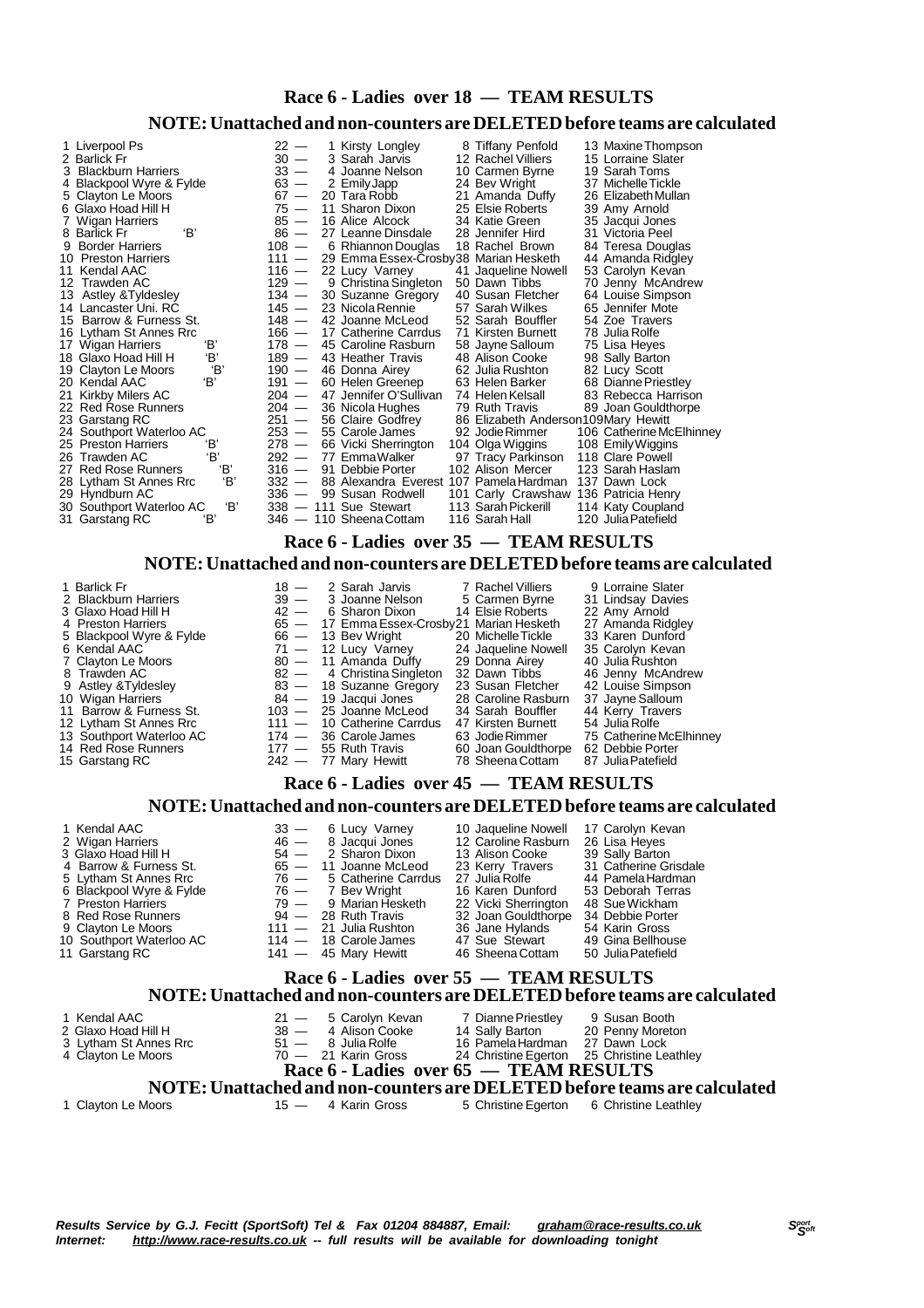# **Race 6 - Ladies over 18 — TEAM RESULTS**

#### **NOTE:Unattached and non-counters are DELETEDbefore teams are calculated**

| 1 Liverpool Ps<br>2 Barlick Fr  | $22 -$<br>$30 -$ | 1 Kirsty Longley<br>3 Sarah Jarvis            | 8 Tiffany Penfold<br>12 Rachel Villiers   | 13 Maxine Thompson<br>15 Lorraine Slater |
|---------------------------------|------------------|-----------------------------------------------|-------------------------------------------|------------------------------------------|
| 3 Blackburn Harriers            | $33 -$           | 4 Joanne Nelson                               | 10 Carmen Byrne                           | 19 Sarah Toms                            |
| 4 Blackpool Wyre & Fylde        | $63 -$           | 2 Emily Japp                                  | 24 Bev Wright                             | 37 Michelle Tickle                       |
| 5 Clayton Le Moors              | $67 -$           | 20 Tara Robb                                  | 21 Amanda Duffy                           | 26 Elizabeth Mullan                      |
| 6 Glaxo Hoad Hill H             | $75 -$           | 11 Sharon Dixon                               | 25 Elsie Roberts                          | 39 Amy Arnold                            |
| 7 Wigan Harriers                | $85 -$           | 16 Alice Alcock                               | 34 Katie Green                            | 35 Jacqui Jones                          |
| 'B'<br>8 Barlick Fr             | $86 -$           | 27 Leanne Dinsdale                            | 28 Jennifer Hird                          | 31 Victoria Peel                         |
| <b>Border Harriers</b><br>9     | $108 -$          | 6 Rhiannon Douglas                            | 18 Rachel Brown                           | 84 Teresa Douglas                        |
| 10 Preston Harriers             | $111 -$          | 29 Emma Essex-Crosby38 Marian Hesketh         |                                           | 44 Amanda Ridgley                        |
| 11 Kendal AAC                   | $116 -$          | 22 Lucy Varney                                | 41 Jaqueline Nowell                       | 53 Carolyn Kevan                         |
| 12 Trawden AC                   | $129 -$          | 9 Christina Singleton                         | 50 Dawn Tibbs                             | 70 Jenny McAndrew                        |
| 13 Astley & Tyldesley           | $134 -$          | 30 Suzanne Gregory                            | 40 Susan Fletcher                         | 64 Louise Simpson                        |
| 14 Lancaster Uni. RC            | $145 -$          | 23 Nicola Rennie                              | 57 Sarah Wilkes                           | 65 Jennifer Mote                         |
| 15 Barrow & Furness St.         | $148 -$          | 42 Joanne McLeod                              | 52 Sarah Bouffler                         | 54 Zoe Travers                           |
| 16 Lytham St Annes Rrc          | $166 -$          | 17 Catherine Carrdus                          | 71 Kirsten Burnett                        | 78 Julia Rolfe                           |
| 'В'<br>17 Wigan Harriers        | $178 -$          | 45 Caroline Rasburn                           | 58 Jayne Salloum                          | 75 Lisa Heyes                            |
| 'В'<br>18 Glaxo Hoad Hill H     | $189 -$          | 43 Heather Travis                             | 48 Alison Cooke                           | 98 Sally Barton                          |
| 'В'<br>19 Clayton Le Moors      | $190 -$          | 46 Donna Airey                                | 62 Julia Rushton                          | 82 Lucy Scott                            |
| 'B'<br>20 Kendal AAC            | $191 -$          | 60 Helen Greenep                              | 63 Helen Barker                           | 68 Dianne Priestley                      |
| 21 Kirkby Milers AC             | $204 -$          | 47 Jennifer O'Sullivan                        | 74 Helen Kelsall                          | 83 Rebecca Harrison                      |
| 22 Red Rose Runners             | $204 -$          | 36 Nicola Hughes                              | 79 Ruth Travis                            | 89 Joan Gouldthorpe                      |
| 23 Garstang RC                  | $251 -$          | 56 Claire Godfrey                             | 86 Elizabeth Anderson109Mary Hewitt       |                                          |
| 24 Southport Waterloo AC        | $253 -$          | 55 Carole James                               | 92 Jodie Rimmer                           | 106 Catherine McElhinney                 |
| 'В'<br>25 Preston Harriers      | $278 -$          | 66 Vicki Sherrington                          |                                           |                                          |
| 'В'<br>26 Trawden AC            | $292 -$          | 77 EmmaWalker                                 | 104 Olga Wiggins<br>97 Tracy Parkinson    | 108 Emily Wiggins<br>118 Clare Powell    |
| 'В'<br>27 Red Rose Runners      | $316 -$          | 91 Debbie Porter                              | 102 Alison Mercer                         | 123 Sarah Haslam                         |
| 'В'<br>28 Lytham St Annes Rrc   |                  | 332 — 88 Alexandra Everest 107 Pamela Hardman |                                           | 137 Dawn Lock                            |
| 29 Hyndburn AC                  | $336 -$          | 99 Susan Rodwell                              |                                           |                                          |
| 'В'                             |                  | $338 - 111$ Sue Stewart                       | 101 Carly Crawshaw<br>113 Sarah Pickerill | 136 Patricia Henry                       |
| 30 Southport Waterloo AC<br>'B' |                  | 346 - 110 Sheena Cottam                       | 116 Sarah Hall                            | 114 Katy Coupland<br>120 Julia Patefield |
| 31 Garstang RC                  |                  |                                               |                                           |                                          |

 **Race 6 - Ladies over 35 — TEAM RESULTS NOTE:Unattached and non-counters are DELETEDbefore teams are calculated**

1 Barlick Fr 18 — 18 <sup>-</sup> 2 Sarah Jarvis 17 Rachel Villiers 9 Lorraine Slater<br>18 - 2 Sarah Jarvis 17 Rachel Villiers 9 Lorraine Slater<br>19 - 3 Joanne Nelson 15 Carmen Byrne 1916 Lindsay Davies 2 Blackburn Harriers 31 Joanne Nelson<br>
2 Blackburn Harriers 31 Lindsay Davies<br>
22 Amy Arnold<br>
26 — 17 Emma Essex-Crosby 21 Marian Hesketh<br>
27 Amanda Ridgley 3 Glaxo Hoad Hill H 42 – 42 Hoad Hill H 65 – 65 – 65 American Roberts 2012 4 Preston Harriers **65 — 17 Emma Essex-Crosby21 Marian Hesketh** 27 Amanda Ridgle<br>5 Blackpool Wyre & Fylde 66 — 13 Bev Wright 20 Michelle Tickle 33 Karen Dunford 5 Blackpool Wyre & Fylde 66 — 13 Bev Wright 20 Michelle Tickle 33 Karen Dunford<br>6 Kendal AAC 71 — 12 Lucy Varney 24 Jaqueline Nowell 35 Carolyn Kevan 6 Kendal AAC 7 Clayton Le Moors<br>
71 — 12 Lucy Varney 24 Jaqueline Nowell 35 Carolyn Keva<br>
7 Clayton Le Moors 80 — 11 Amanda Duffy 29 Donna Airey 40 Julia Rushton<br>
8 Trawden AC 82 — 4 Christina Singleton 32 Dawn Tibbs 46 Je 7 Clayton Le Moors 80 — 11 Amanda Duffy 29 Donna Airey 40 Julia Rushton 8 Trawden AC 82 — 4 ChristinaSingleton 32 Dawn Tibbs 46 Jenny McAndrew 82 — 1 Christina Singleton 32 Dawn Tibbs 46 Jenny McAndrew<br>83 — 18 Suzanne Gregory 23 Susan Fletcher 42 Louise Simpson<br>84 — 19 Jacqui Jones 28 Caroline Rasburn 37 Jayne Salloum<br>03 — 25 Joanne McLeod 34 Sarah Bouffler 44 Ke 10 Wigan Harriers 84 — 19 Jacqui Jones 28 Caroline Rasburn 37 JayneSalloum 11 Barrow & Furness St. 103 — 25 Joanne McLeod 34 Sarah Bouffler 44 Kerry Travers 12 Lytham St Annes Rrc 111 - 10 Catherine Carrdus 17 Kirsten Burnett 54 Julia Rolfe<br>
13 Southport Waterloo AC 174 - 36 Carole James 63 Jodie Rimmer 75 Catherine McElhinney<br>
14 Red Rose Runners 177 - 55 Ruth Travis 60 Joan 13 Southport Waterloo AC 174 — 36 Carole James 63 Jodie Rimmer 175 Catherine McElhinney<br>14 Red Rose Runners 117 — 55 Ruth Travis 60 Joan Gouldthorpe 62 Debbie Porter 15 Garstang RC 242 - 77 Mary Hewitt 78 Sheena Cottam 87 Julia Patefield  **Race 6 - Ladies over 45 — TEAM RESULTS NOTE:Unattached and non-counters are DELETEDbefore teams are calculated**

| 1 Kendal AAC                                                                                                        |  | 33 - 6 Lucy Varney         | 10 Jaqueline Nowell  | 17 Carolyn Kevan      |  |  |  |  |  |  |  |
|---------------------------------------------------------------------------------------------------------------------|--|----------------------------|----------------------|-----------------------|--|--|--|--|--|--|--|
| 2 Wigan Harriers                                                                                                    |  | 46 - 8 Jacqui Jones        | 12 Caroline Rasburn  | 26 Lisa Heyes         |  |  |  |  |  |  |  |
| 3 Glaxo Hoad Hill H                                                                                                 |  | $54 - 2$ Sharon Dixon      | 13 Alison Cooke      | 39 Sally Barton       |  |  |  |  |  |  |  |
| 4 Barrow & Furness St.                                                                                              |  | $65 - 11$ Joanne McLeod    | 23 Kerry Travers     | 31 Catherine Grisdale |  |  |  |  |  |  |  |
| 5 Lytham St Annes Rrc                                                                                               |  | $76 - 5$ Catherine Carrdus | 27 Julia Rolfe       | 44 Pamela Hardman     |  |  |  |  |  |  |  |
| 6 Blackpool Wyre & Fylde                                                                                            |  | $76 - 7$ Bev Wright        | 16 Karen Dunford     | 53 Deborah Terras     |  |  |  |  |  |  |  |
| 7 Preston Harriers                                                                                                  |  | 79 — 9 Marian Hesketh      | 22 Vicki Sherrington | 48 Sue Wickham        |  |  |  |  |  |  |  |
| 8 Red Rose Runners                                                                                                  |  | $94 - 28$ Ruth Travis      | 32 Joan Gouldthorpe  | 34 Debbie Porter      |  |  |  |  |  |  |  |
| 9 Clayton Le Moors                                                                                                  |  | $111 - 21$ Julia Rushton   | 36 Jane Hylands      | 54 Karin Gross        |  |  |  |  |  |  |  |
| 10 Southport Waterloo AC                                                                                            |  | $114 - 18$ Carole James    | 47 Sue Stewart       | 49 Gina Bellhouse     |  |  |  |  |  |  |  |
| 11 Garstang RC                                                                                                      |  | $141 - 45$ Mary Hewitt     | 46 Sheena Cottam     | 50 Julia Patefield    |  |  |  |  |  |  |  |
| Race 6 - Ladies over 55 - TEAM RESULTS<br>NOTE: Unattached and non-counters are DELETED before teams are calculated |  |                            |                      |                       |  |  |  |  |  |  |  |

| 1 Kendal AAC<br>2 Glaxo Hoad Hill H<br>3 Lytham St Annes Rrc<br>4 Clayton Le Moors | 21 - 5 Carolyn Kevan<br>38 - 4 Alison Cooke<br>51 — 8 Julia Rolfe<br>$70 - 21$ Karin Gross | 7 Dianne Priestley<br>9 Susan Booth<br>14 Sally Barton 20 Penny Moreton<br>16 Pamela Hardman 27 Dawn Lock<br>24 Christine Egerton 25 Christine Leathley |
|------------------------------------------------------------------------------------|--------------------------------------------------------------------------------------------|---------------------------------------------------------------------------------------------------------------------------------------------------------|
|                                                                                    |                                                                                            | Race 6 - Ladies over 65 — TEAM RESULTS<br>NOTE: Unattached and non-counters are DELETED before teams are calculated                                     |
| 1 Clayton Le Moors                                                                 | 15 — 4 Karin Gross                                                                         | 5 Christine Egerton 6 Christine Leathley                                                                                                                |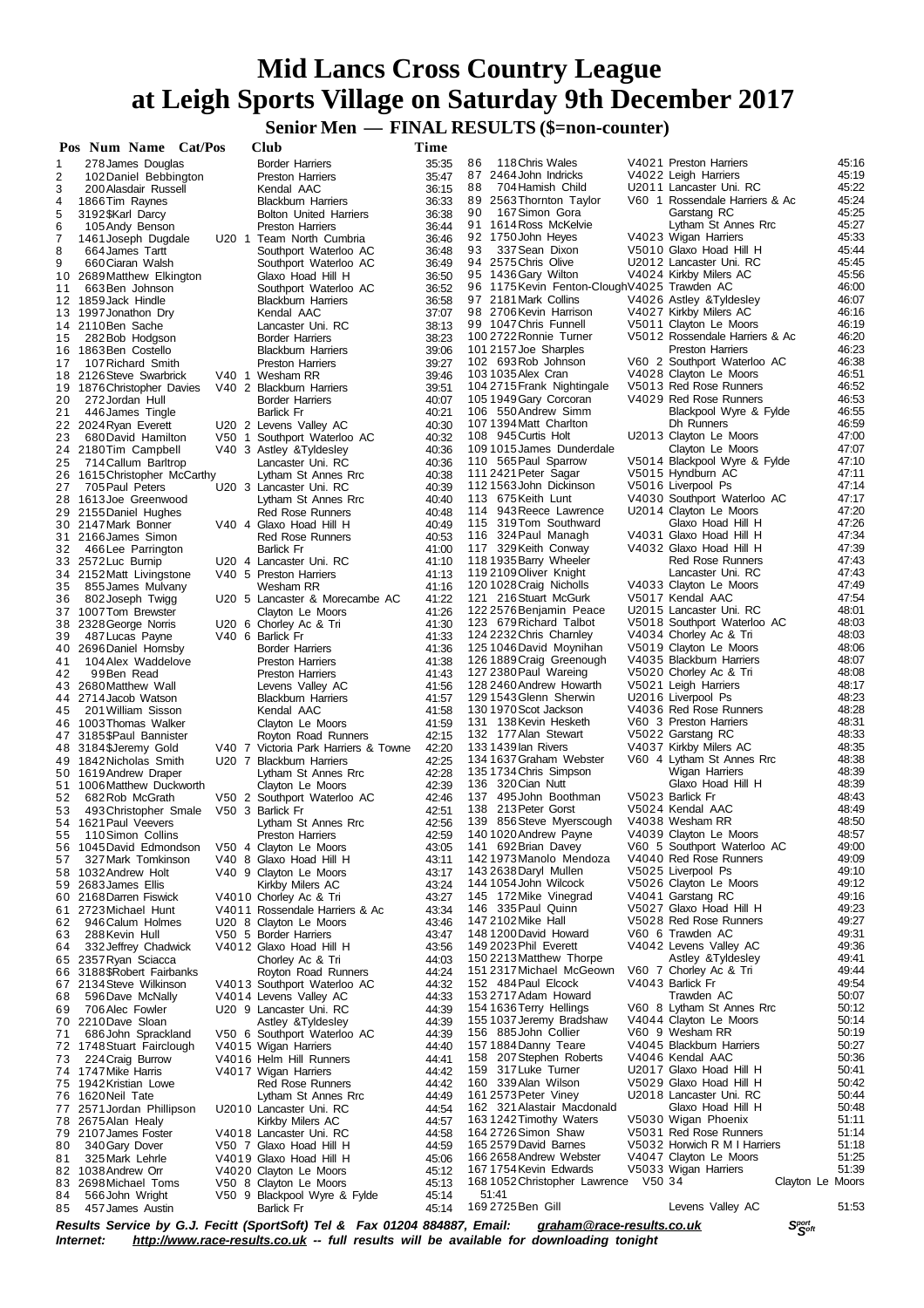**Senior Men** — **FINAL RESULTS** (\$=non-counter)

|          | Pos Num Name Cat/Pos                                  |       | Club                                                                                                                                                           | Time           |                                                                      |                                                        |                |
|----------|-------------------------------------------------------|-------|----------------------------------------------------------------------------------------------------------------------------------------------------------------|----------------|----------------------------------------------------------------------|--------------------------------------------------------|----------------|
| 1        | 278 James Douglas                                     |       | <b>Border Harriers</b>                                                                                                                                         | 35:35          | 86<br>118 Chris Wales                                                | V4021 Preston Harriers                                 | 45:16          |
| 2        | 102 Daniel Bebbington                                 |       | <b>Preston Harriers</b>                                                                                                                                        | 35:47          | 87 2464 John Indricks<br>88<br>704 Hamish Child                      | V4022 Leigh Harriers<br>U2011 Lancaster Uni. RC        | 45:19<br>45:22 |
| 3<br>4   | 200 Alasdair Russell<br>1866 Tim Raynes               |       | Kendal AAC<br><b>Blackburn Harriers</b>                                                                                                                        | 36:15<br>36:33 | 89 2563 Thornton Taylor                                              | V60 1 Rossendale Harriers & Ac                         | 45:24          |
| 5        | 3192 \$Karl Darcy                                     |       | <b>Bolton United Harriers</b>                                                                                                                                  | 36:38          | 90<br>167 Simon Gora                                                 | Garstang RC                                            | 45:25          |
| 6        | 105 Andy Benson                                       |       | <b>Preston Harriers</b>                                                                                                                                        | 36:44          | 91 1614 Ross McKelvie                                                | Lytham St Annes Rrc                                    | 45:27          |
| 7<br>8   | 1461 Joseph Dugdale<br>664 James Tartt                |       | U20 1 Team North Cumbria<br>Southport Waterloo AC                                                                                                              | 36:46<br>36:48 | 92 1750 John Heyes<br>93<br>337 Sean Dixon                           | V4023 Wigan Harriers<br>V5010 Glaxo Hoad Hill H        | 45:33<br>45:44 |
| 9        | 660 Ciaran Walsh                                      |       | Southport Waterloo AC                                                                                                                                          | 36:49          | 94 2575 Chris Olive                                                  | U2012 Lancaster Uni. RC                                | 45:45          |
| 10       | 2689 Matthew Elkington                                |       | Glaxo Hoad Hill H                                                                                                                                              | 36:50          | 95 1436 Gary Wilton                                                  | V4024 Kirkby Milers AC                                 | 45:56          |
| 11       | 663 Ben Johnson                                       |       | Southport Waterloo AC                                                                                                                                          | 36:52          | 96 1175 Kevin Fenton-Clough V4025 Trawden AC<br>97 2181 Mark Collins | V4026 Astley & Tyldesley                               | 46:00<br>46:07 |
|          | 12 1859 Jack Hindle<br>13 1997 Jonathon Dry           |       | <b>Blackburn Harriers</b><br>Kendal AAC                                                                                                                        | 36:58<br>37:07 | 98 2706 Kevin Harrison                                               | V4027 Kirkby Milers AC                                 | 46:16          |
|          | 14 2110 Ben Sache                                     |       | Lancaster Uni. RC                                                                                                                                              | 38:13          | 99 1047 Chris Funnell                                                | V5011 Clayton Le Moors                                 | 46:19          |
| 15       | 282 Bob Hodgson                                       |       | <b>Border Harriers</b>                                                                                                                                         | 38:23          | 100 2722 Ronnie Turner                                               | V5012 Rossendale Harriers & Ac                         | 46:20          |
| 16<br>17 | 1863 Ben Costello<br>107 Richard Smith                |       | <b>Blackburn Harriers</b><br><b>Preston Harriers</b>                                                                                                           | 39:06<br>39:27 | 101 2157 Joe Sharples<br>102 693 Rob Johnson                         | <b>Preston Harriers</b><br>V60 2 Southport Waterloo AC | 46:23<br>46:38 |
|          | 18 2126 Steve Swarbrick                               |       | V40 1 Wesham RR                                                                                                                                                | 39:46          | 103 1035 Alex Cran                                                   | V4028 Clayton Le Moors                                 | 46:51          |
|          | 19 1876 Christopher Davies                            |       | V40 2 Blackburn Harriers                                                                                                                                       | 39:51          | 104 2715 Frank Nightingale                                           | V5013 Red Rose Runners                                 | 46:52          |
| 20       | 272 Jordan Hull                                       |       | <b>Border Harriers</b>                                                                                                                                         | 40:07          | 105 1949 Gary Corcoran                                               | V4029 Red Rose Runners                                 | 46:53          |
| 21       | 446 James Tingle<br>22 2024 Ryan Everett              |       | <b>Barlick Fr</b><br>U20 2 Levens Valley AC                                                                                                                    | 40:21<br>40:30 | 106 550 Andrew Simm<br>1071394 Matt Charlton                         | Blackpool Wyre & Fylde<br>Dh Runners                   | 46:55<br>46:59 |
| 23       | 680 David Hamilton                                    | V50 1 | Southport Waterloo AC                                                                                                                                          | 40:32          | 108 945 Curtis Holt                                                  | U2013 Clayton Le Moors                                 | 47:00          |
| 24       | 2180Tim Campbell                                      |       | V40 3 Astley & Tyldesley                                                                                                                                       | 40:36          | 109 1015 James Dunderdale                                            | Clayton Le Moors                                       | 47:07          |
| 25       | 714 Callum Barltrop                                   |       | Lancaster Uni. RC                                                                                                                                              | 40:36          | 110 565 Paul Sparrow                                                 | V5014 Blackpool Wyre & Fylde                           | 47:10          |
| 26       | 1615 Christopher McCarthy<br>705 Paul Peters          |       | Lytham St Annes Rrc<br>U20 3 Lancaster Uni. RC                                                                                                                 | 40:38<br>40:39 | 111 2421 Peter Sagar<br>1121563John Dickinson                        | V5015 Hyndburn AC<br>V5016 Liverpool Ps                | 47:11<br>47:14 |
| 27<br>28 | 1613Joe Greenwood                                     |       | Lytham St Annes Rrc                                                                                                                                            | 40:40          | 113 675 Keith Lunt                                                   | V4030 Southport Waterloo AC                            | 47:17          |
|          | 29 2155 Daniel Hughes                                 |       | Red Rose Runners                                                                                                                                               | 40:48          | 114 943 Reece Lawrence                                               | U2014 Clayton Le Moors                                 | 47:20          |
|          | 30 2147 Mark Bonner                                   |       | V40 4 Glaxo Hoad Hill H                                                                                                                                        | 40:49          | 115 319 Tom Southward                                                | Glaxo Hoad Hill H                                      | 47:26          |
|          | 31 2166 James Simon                                   |       | Red Rose Runners                                                                                                                                               | 40:53          | 116 324 Paul Managh<br>117 329 Keith Conway                          | V4031 Glaxo Hoad Hill H<br>V4032 Glaxo Hoad Hill H     | 47:34<br>47:39 |
| 32       | 466 Lee Parrington<br>33 2572 Luc Burnip              |       | <b>Barlick Fr</b><br>U20 4 Lancaster Uni. RC                                                                                                                   | 41:00<br>41:10 | 118 1935 Barry Wheeler                                               | Red Rose Runners                                       | 47:43          |
|          | 34 2152 Matt Livingstone                              |       | V40 5 Preston Harriers                                                                                                                                         | 41:13          | 119 2109 Oliver Knight                                               | Lancaster Uni. RC                                      | 47:43          |
| 35       | 855 James Mulvany                                     |       | Wesham RR                                                                                                                                                      | 41:16          | 120 1028 Craig Nicholls                                              | V4033 Clayton Le Moors                                 | 47:49          |
| 36       | 802 Joseph Twigg                                      |       | U20 5 Lancaster & Morecambe AC                                                                                                                                 | 41:22          | 121 216 Stuart McGurk<br>122 2576 Benjamin Peace                     | V5017 Kendal AAC<br>U2015 Lancaster Uni. RC            | 47:54<br>48:01 |
|          | 37 1007 Tom Brewster<br>38 2328 George Norris         |       | Clayton Le Moors<br>U20 6 Chorley Ac & Tri                                                                                                                     | 41:26<br>41:30 | 123 679 Richard Talbot                                               | V5018 Southport Waterloo AC                            | 48:03          |
| 39       | 487 Lucas Payne                                       |       | V40 6 Barlick Fr                                                                                                                                               | 41:33          | 124 2232 Chris Charnley                                              | V4034 Chorley Ac & Tri                                 | 48:03          |
|          | 40 2696 Daniel Hornsby                                |       | <b>Border Harriers</b>                                                                                                                                         | 41:36          | 125 1046 David Moynihan                                              | V5019 Clayton Le Moors                                 | 48:06          |
| 41       | 104 Alex Waddelove                                    |       | <b>Preston Harriers</b>                                                                                                                                        | 41:38<br>41:43 | 126 1889 Craig Greenough<br>127 2380 Paul Wareing                    | V4035 Blackburn Harriers<br>V5020 Chorley Ac & Tri     | 48:07<br>48:08 |
| 42       | 99Ben Read<br>43 2680 Matthew Wall                    |       | <b>Preston Harriers</b><br>Levens Valley AC                                                                                                                    | 41:56          | 128 2460 Andrew Howarth                                              | V5021 Leigh Harriers                                   | 48:17          |
| 44       | 2714 Jacob Watson                                     |       | <b>Blackburn Harriers</b>                                                                                                                                      | 41:57          | 129 1543 Glenn Sherwin                                               | U2016 Liverpool Ps                                     | 48:23          |
| 45       | 201 William Sisson                                    |       | Kendal AAC                                                                                                                                                     | 41:58          | 130 1970 Scot Jackson                                                | V4036 Red Rose Runners                                 | 48:28          |
|          | 46 1003 Thomas Walker<br>47 3185\$Paul Bannister      |       | Clayton Le Moors                                                                                                                                               | 41:59<br>42:15 | 131 138 Kevin Hesketh<br>132 177 Alan Stewart                        | V60 3 Preston Harriers<br>V5022 Garstang RC            | 48:31<br>48:33 |
|          | 48 3184 \$Jeremy Gold                                 |       | Royton Road Runners<br>V40 7 Victoria Park Harriers & Towne                                                                                                    | 42:20          | 133 1439 lan Rivers                                                  | V4037 Kirkby Milers AC                                 | 48:35          |
|          | 49 1842 Nicholas Smith                                |       | U20 7 Blackburn Harriers                                                                                                                                       | 42:25          | 134 1637 Graham Webster                                              | V60 4 Lytham St Annes Rrc                              | 48:38          |
|          | 50 1619 Andrew Draper                                 |       | Lytham St Annes Rrc                                                                                                                                            | 42:28          | 135 1734 Chris Simpson                                               | Wigan Harriers                                         | 48:39          |
| 52       | 51 1006 Matthew Duckworth<br>682 Rob McGrath          |       | Clayton Le Moors<br>V50 2 Southport Waterloo AC                                                                                                                | 42:39<br>42:46 | 136 320 Cian Nutt<br>137 495 John Boothman                           | Glaxo Hoad Hill H<br>V5023 Barlick Fr                  | 48:39<br>48:43 |
| 53       | 493 Christopher Smale                                 |       | V50 3 Barlick Fr                                                                                                                                               | 42:51          | 138 213 Peter Gorst                                                  | V5024 Kendal AAC                                       | 48:49          |
|          | 54 1621 Paul Veevers                                  |       | Lytham St Annes Rrc                                                                                                                                            | 42:56          | 139 856 Steve Myerscough                                             | V4038 Wesham RR                                        | 48:50          |
| 55       | 110 Simon Collins                                     |       | Preston Harriers                                                                                                                                               | 42:59          | 140 1020 Andrew Payne<br>141 692 Brian Davey                         | V4039 Clayton Le Moors                                 | 48:57<br>49:00 |
| 57       | 56 1045 David Edmondson<br>327 Mark Tomkinson         |       | V50 4 Clayton Le Moors<br>V40 8 Glaxo Hoad Hill H                                                                                                              | 43:05<br>43:11 | 142 1973 Manolo Mendoza                                              | V60 5 Southport Waterloo AC<br>V4040 Red Rose Runners  | 49:09          |
|          | 58 1032 Andrew Holt                                   |       | V40 9 Clayton Le Moors                                                                                                                                         | 43:17          | 143 2638 Daryl Mullen                                                | V5025 Liverpool Ps                                     | 49:10          |
|          | 59 2683 James Ellis                                   |       | Kirkby Milers AC                                                                                                                                               | 43:24          | 144 1054 John Wilcock                                                | V5026 Clayton Le Moors                                 | 49:12          |
|          | 60 2168 Darren Fiswick                                |       | V4010 Chorley Ac & Tri                                                                                                                                         | 43:27          | 145 172 Mike Vinegrad<br>146 335 Paul Quinn                          | V4041 Garstang RC<br>V5027 Glaxo Hoad Hill H           | 49:16<br>49:23 |
| 61<br>62 | 2723 Michael Hunt<br>946 Calum Holmes                 |       | V4011 Rossendale Harriers & Ac<br>U20 8 Clayton Le Moors                                                                                                       | 43:34<br>43:46 | 147 2102 Mike Hall                                                   | V5028 Red Rose Runners                                 | 49:27          |
| 63       | 288 Kevin Hull                                        |       | V50 5 Border Harriers                                                                                                                                          | 43:47          | 148 1200 David Howard                                                | V60 6 Trawden AC                                       | 49:31          |
| 64       | 332 Jeffrey Chadwick                                  |       | V4012 Glaxo Hoad Hill H                                                                                                                                        | 43:56          | 149 2023 Phil Everett                                                | V4042 Levens Valley AC                                 | 49:36          |
|          | 65 2357 Ryan Sciacca                                  |       | Chorley Ac & Tri                                                                                                                                               | 44:03          | 150 2213 Matthew Thorpe<br>151 2317 Michael McGeown                  | Astley & Tyldesley<br>V60 7 Chorley Ac & Tri           | 49:41<br>49:44 |
|          | 66 3188 \$Robert Fairbanks<br>67 2134 Steve Wilkinson |       | Royton Road Runners<br>V4013 Southport Waterloo AC                                                                                                             | 44:24<br>44:32 | 152 484 Paul Elcock                                                  | V4043 Barlick Fr                                       | 49:54          |
| 68       | 596 Dave McNally                                      |       | V4014 Levens Valley AC                                                                                                                                         | 44:33          | 153 2717 Adam Howard                                                 | Trawden AC                                             | 50:07          |
| 69       | 706 Alec Fowler                                       |       | U20 9 Lancaster Uni. RC                                                                                                                                        | 44:39          | 154 1636 Terry Hellings                                              | V60 8 Lytham St Annes Rrc                              | 50:12          |
|          | 70 2210 Dave Sloan                                    |       | Astley & Tyldesley                                                                                                                                             | 44:39          | 155 1037 Jeremy Bradshaw<br>156 885 John Collier                     | V4044 Clayton Le Moors<br>V60 9 Wesham RR              | 50:14<br>50:19 |
| 71       | 686 John Sprackland<br>72 1748 Stuart Fairclough      |       | V50 6 Southport Waterloo AC<br>V4015 Wigan Harriers                                                                                                            | 44:39<br>44:40 | 157 1884 Danny Teare                                                 | V4045 Blackburn Harriers                               | 50:27          |
| 73       | 224 Craig Burrow                                      |       | V4016 Helm Hill Runners                                                                                                                                        | 44:41          | 158 207 Stephen Roberts                                              | V4046 Kendal AAC                                       | 50:36          |
|          | 74 1747 Mike Harris                                   |       | V4017 Wigan Harriers                                                                                                                                           | 44:42          | 159 317 Luke Turner                                                  | U2017 Glaxo Hoad Hill H                                | 50:41          |
|          | 75 1942 Kristian Lowe                                 |       | <b>Red Rose Runners</b>                                                                                                                                        | 44:42          | 160 339 Alan Wilson                                                  | V5029 Glaxo Hoad Hill H<br>U2018 Lancaster Uni. RC     | 50:42<br>50:44 |
|          | 76 1620 Neil Tate<br>77 2571 Jordan Phillipson        |       | Lytham St Annes Rrc<br>U2010 Lancaster Uni. RC                                                                                                                 | 44:49<br>44:54 | 161 2573 Peter Viney<br>162 321 Alastair Macdonald                   | Glaxo Hoad Hill H                                      | 50:48          |
|          | 78 2675 Alan Healy                                    |       | Kirkby Milers AC                                                                                                                                               | 44:57          | 1631242 Timothy Waters                                               | V5030 Wigan Phoenix                                    | 51:11          |
|          | 79 2107 James Foster                                  |       | V4018 Lancaster Uni. RC                                                                                                                                        | 44:58          | 164 2726 Simon Shaw                                                  | V5031 Red Rose Runners                                 | 51:14          |
| 80       | 340 Gary Dover                                        |       | V50 7 Glaxo Hoad Hill H                                                                                                                                        | 44:59          | 165 2579 David Barnes                                                | V5032 Horwich R M I Harriers                           | 51:18          |
| 81       | 325 Mark Lehrle<br>82 1038 Andrew Orr                 |       | V4019 Glaxo Hoad Hill H                                                                                                                                        | 45:06<br>45:12 | 166 2658 Andrew Webster<br>167 1754 Kevin Edwards                    | V4047 Clayton Le Moors<br>V5033 Wigan Harriers         | 51:25<br>51:39 |
|          | 83 2698 Michael Toms                                  |       | V4020 Clayton Le Moors<br>V50 8 Clayton Le Moors                                                                                                               | 45:13          | 168 1052 Christopher Lawrence V50 34                                 | Clayton Le Moors                                       |                |
| 84       | 566 John Wright                                       |       | V50 9 Blackpool Wyre & Fylde                                                                                                                                   | 45:14          | 51:41                                                                |                                                        |                |
| 85       | 457 James Austin                                      |       | Barlick Fr<br>$Counting \text{ for } C \text{ } I$ $Tspilt \text{ } (Producting \text{ for } t)$ $Tgl0 \text{ } Top1 \text{ } 01201 \text{ } 004007$ $Temail.$ | 45:14          | 169 2725 Ben Gill<br>avaham Quasa voqulta ee uk                      | Levens Valley AC<br>Chori                              | 51:53          |

Results Service by G.J. Fecitt (SportSoft) Tel & Fax 01204 884887, Email: <u>[graham@race-results.co.uk](mailto:graham@race-results.co.uk)</u> S<sup>oon</sup><br>Internet: <u><http://www.race-results.co.uk></u> -- full results will be available for downloading tonight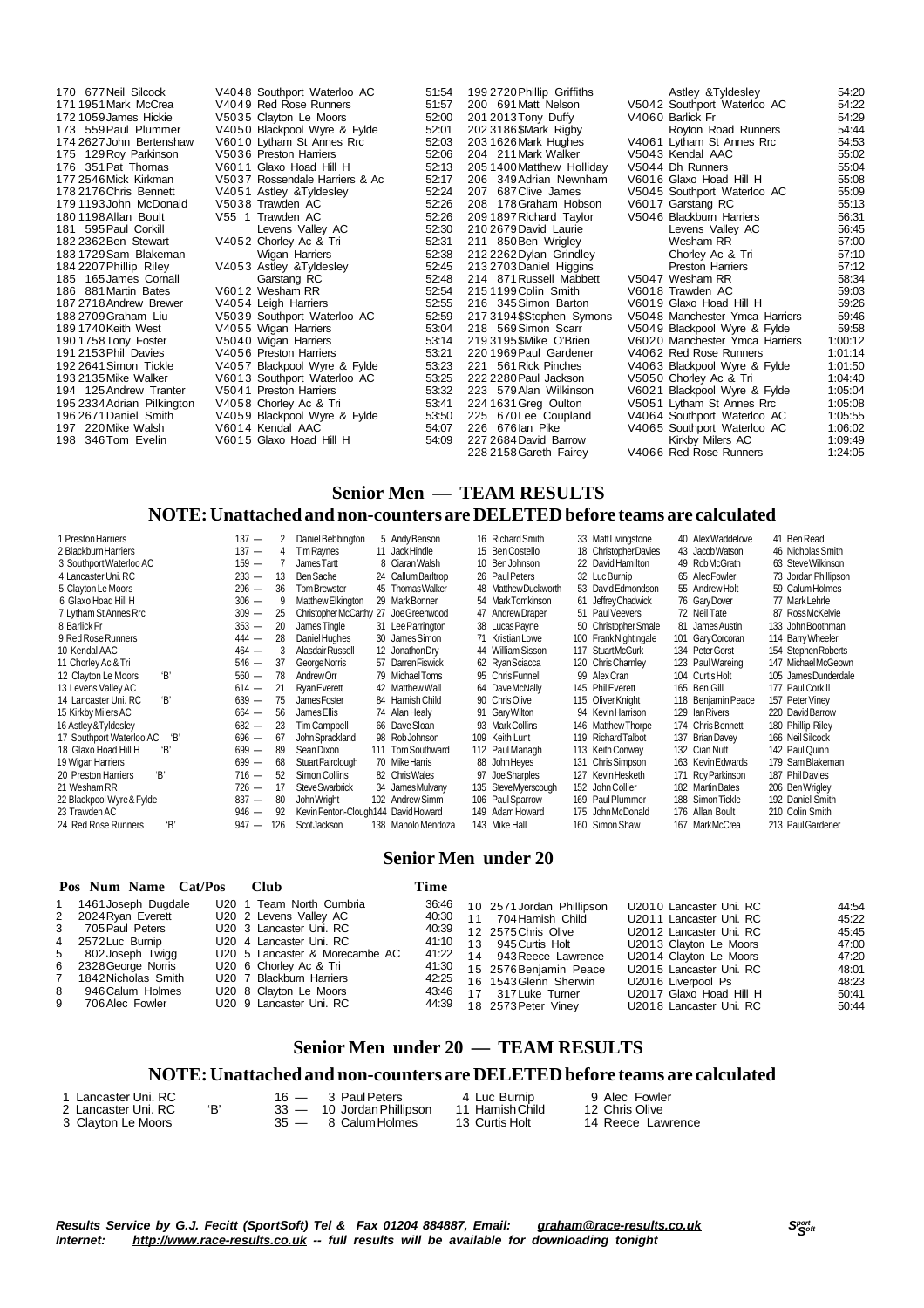194 125 Andrew Tranter<br>195 2334 Adrian Pilkington

170 677 Neil Silcock V4048 Southport Waterloo AC 51:54<br>171 1951 Mark McCrea V4049 Red Rose Runners 51:57 171 1951Mark McCrea V4049 Red Rose Runners 51:57 172 1059James Hickie V5035 Clayton Le Moors 52:00 173 559 Paul Plummer V4050 Blackpool Wyre & Fylde 52:01<br>174 2627 John Bertenshaw V6010 Lytham St Annes Rrc 52:03 174 2627John Bertenshaw V6010 Lytham St Annes Rrc 52:03 175 129Roy Parkinson V5036 Preston Harriers 52:06 175 129 Roy Parkinson V5036 Preston Harriers 52:06<br>176 351 Pat Thomas V6011 Glaxo Hoad Hill H 52:13<br>177 2546 Mick Kirkman V5037 Rossendale Harriers & Ac 52:17 177 2546Mick Kirkman V5037 Rossendale Harriers & Ac 52:17 V4051 Astley &Tyldesley 52:24<br>V5038 Trawden AC 52:26 179 1193John McDonald V5038 Trawden AC 52:26 180 1198Allan Boult V55 1 Trawden AC 52:26 181 595 Paul Corkill Levens Valley AC 52:30<br>182 2362 Ben Stewart 194052 Chorley Ac & Tri 52:31 182 2362 Ben Stewart V4052 Chorley Ac & Tri 52:31<br>183 1729 Sam Blakeman Wigan Harriers 52:38 183 1729Sam Blakeman Wigan Harriers 52:38 184 2207Phillip Riley V4053 Astley &Tyldesley 52:45 185 165 James Cornall Carstang RC 52:48<br>186 881 Martin Bates 6012 Wesham RR 52:54 186 881Martin Bates V6012 Wesham RR 52:54 187 2718 Andrew Brewer V4054 Leigh Harriers 52:55<br>188 2709 Graham Liu V5039 Southport Waterloo AC 52:59 188 2709Graham Liu V5039 Southport Waterloo AC 52:59 189 1740 Keith West V4055 Wigan Harriers 53:04<br>190 1758 Tony Foster V5040 Wigan Harriers 53:14 190 1758Tony Foster V5040 Wigan Harriers 53:14 191 2153 Phil Davies V4056 Preston Harriers 53:21<br>191 2153 Phil Davies V4056 Preston Harriers 53:21<br>192 2641 Simon Tickle V4057 Blackpool Wyre & Fylde 53:23 192 2641Simon Tickle V4057 Blackpool Wyre & Fylde 53:23 V6013 Southport Waterloo AC 53:25<br>V5041 Preston Harriers 53:32 195 2334Adrian Pilkington V4058 Chorley Ac & Tri 53:41 196 2671Daniel Smith V4059 Blackpool Wyre & Fylde 53:50 197 220Mike Walsh V6014 Kendal AAC 54:07 V6015 Glaxo Hoad Hill H

199 2720 Phillip Griffiths 202 3186 \$Mark Rigby 203 1626 Mark Hughes 204 211 Mark Walker 205 1400 Matthew Holliday 206 349 Adrian Newnham 207 687 Clive James 208 178 Graham Hobson 209 1897 Richard Taylor 210 2679 David Laurie 211 850 Ben Wrigley  $212 2262$  Dylan Grindley 213 2703 Daniel Higgins 214 871 Russell Mabbett 215 1199 Colin Smith 216 345 Simon Barton 217 3194 \$Stephen Symons 218 569 Simon Scarr 219 3195 SMike O'Brien 220 1969 Paul Gardener 221 561 Rick Pinches 222 2280 Paul Jackson 223 579 Alan Wilkinson 226 676 lan Pike 227 2684 David Barrow

| 199 2720 Phillip Griffiths | Astley & Tyldesley             | 54:20   |
|----------------------------|--------------------------------|---------|
| 200 691 Matt Nelson        | V5042 Southport Waterloo AC    | 54:22   |
| 201 2013 Tony Duffy        | V4060 Barlick Fr               | 54:29   |
| 2023186\$Mark Rigby        | Royton Road Runners            | 54:44   |
| 203 1626 Mark Hughes       | V4061 Lytham St Annes Rrc      | 54:53   |
| 204 211 Mark Walker        | V5043 Kendal AAC               | 55:02   |
| 2051400Matthew Holliday    | V5044 Dh Runners               | 55:04   |
| 206 349 Adrian Newnham     | V6016 Glaxo Hoad Hill H        | 55:08   |
| 207 687 Clive James        | V5045 Southport Waterloo AC    | 55:09   |
| 208 178 Graham Hobson      | V6017 Garstang RC              | 55:13   |
| 209 1897 Richard Taylor    | V5046 Blackburn Harriers       | 56:31   |
| 210 2679 David Laurie      | Levens Valley AC               | 56:45   |
| 211 850 Ben Wrigley        | Wesham RR                      | 57:00   |
| 212 2262 Dylan Grindley    | Chorley Ac & Tri               | 57:10   |
| 213 2703 Daniel Higgins    | <b>Preston Harriers</b>        | 57:12   |
| 214 871 Russell Mabbett    | V5047 Wesham RR                | 58:34   |
| 2151199Colin Smith         | V6018 Trawden AC               | 59:03   |
| 216 345 Simon Barton       | V6019 Glaxo Hoad Hill H        | 59:26   |
| 2173194\$Stephen Symons    | V5048 Manchester Ymca Harriers | 59:46   |
| 218 569Simon Scarr         | V5049 Blackpool Wyre & Fylde   | 59:58   |
| 219 3195 \$Mike O'Brien    | V6020 Manchester Ymca Harriers | 1:00:12 |
| 220 1969 Paul Gardener     | V4062 Red Rose Runners         | 1:01:14 |
| 221 561 Rick Pinches       | V4063 Blackpool Wyre & Fylde   | 1:01:50 |
| 222 2280 Paul Jackson      | V5050 Chorley Ac & Tri         | 1:04:40 |
| 223 579Alan Wilkinson      | V6021 Blackpool Wyre & Fylde   | 1:05:04 |
| 224 1631 Greg Oulton       | V5051 Lytham St Annes Rrc      | 1:05:08 |
| 225 670 Lee Coupland       | V4064 Southport Waterloo AC    | 1:05:55 |
| 226 676 lan Pike           | V4065 Southport Waterloo AC    | 1:06:02 |
| 227 2684 David Barrow      | Kirkby Milers AC               | 1:09:49 |
| 228 2158 Gareth Fairey     | V4066 Red Rose Runners         | 1:24:05 |
|                            |                                |         |

### **Senior Men — TEAM RESULTS NOTE:Unattached and non-counters are DELETEDbefore teams are calculated**

| 1 Preston Harriers         |    | $137 -$ |     |                                       | 5 Andy Benson      | 16 Richard Smith     |                       | 40 Alex Waddelove  | 41 Ben Read          |
|----------------------------|----|---------|-----|---------------------------------------|--------------------|----------------------|-----------------------|--------------------|----------------------|
|                            |    |         | 2   | Daniel Bebbington                     |                    |                      | 33 Matt Livingstone   |                    |                      |
| 2 Blackburn Harriers       |    | 137 —   | 4   | Tim Raynes                            | 11 JackHindle      | 15 Ben Costello      | 18 Christopher Davies | 43 Jacob Watson    | 46 Nicholas Smith    |
| 3 Southport Waterloo AC    |    | $159 -$ |     | James Tartt                           | 8 Ciaran Walsh     | 10 Ben Johnson       | 22 David Hamilton     | 49 RobMcGrath      | 63 Steve Wilkinson   |
| 4 Lancaster Uni. RC        |    | $233 -$ | 13  | Ben Sache                             | 24 Callum Barltrop | 26 Paul Peters       | 32 Luc Burnip         | 65 Alec Fowler     | 73 Jordan Phillipson |
| 5 Clayton Le Moors         |    | $296 -$ | 36  | Tom Brewster                          | 45 Thomas Walker   | 48 Matthew Duckworth | 53 David Edmondson    | 55 Andrew Holt     | 59 Calum Holmes      |
| 6 Glaxo Hoad Hill H        |    | $306 -$ | 9   | Matthew Elkington                     | 29 Mark Bonner     | 54 Mark Tomkinson    | 61 Jeffrey Chadwick   | 76 Gary Dover      | 77 Mark Lehrle       |
| 7 Lytham St Annes Rrc      |    | $309 -$ | 25  | Christopher McCarthy 27 Joe Greenwood |                    | 47 Andrew Draper     | 51 Paul Veevers       | 72 Neil Tate       | 87 RossMcKelvie      |
| 8 Barlick Fr               |    | $353 -$ | 20  | James Tingle                          | 31 Lee Parrington  | 38 Lucas Payne       | 50 Christopher Smale  | 81 James Austin    | 133 John Boothman    |
| 9 Red Rose Runners         |    | $444 -$ | 28  | Daniel Hughes                         | 30 James Simon     | 71 Kristian Lowe     | 100 Frank Nightingale | 101 Gary Corcoran  | 114 Barry Wheeler    |
| 10 Kendal AAC              |    | $464 -$ | 3   | Alasdair Russell                      | 12 Jonathon Dry    | 44 William Sisson    | 117 StuartMcGurk      | 134 Peter Gorst    | 154 Stephen Roberts  |
| 11 Chorley Ac & Tri        |    | $546 -$ | -37 | George Norris                         | 57 Darren Fiswick  | 62 Ryan Sciacca      | 120 Chris Charnley    | 123 Paul Wareing   | 147 MichaelMcGeown   |
| 12 Clayton Le Moors        | Έ, | $560 -$ | 78  | AndrewOrr                             | 79 Michael Toms    | 95 Chris Funnell     | 99 Alex Cran          | 104 Curtis Holt    | 105 James Dunderdale |
| 13 Levens Valley AC        |    | $614 -$ | 21  | <b>Rvan Everett</b>                   | 42 Matthew Wall    | 64 Dave McNally      | 145 Phil Everett      | 165 Ben Gill       | 177 Paul Corkill     |
| 14 Lancaster Uni. RC       | Έ, | $639 -$ | 75  | James Foster                          | 84 Hamish Child    | 90 Chris Olive       | 115 Oliver Knight     | 118 Benjamin Peace | 157 Peter Viney      |
| 15 Kirkby Milers AC        |    | $664 -$ | 56  | James Ellis                           | 74 Alan Healy      | 91 Gary Wilton       | 94 Kevin Harrison     | 129 Ian Rivers     | 220 David Barrow     |
| 16 Astley & Tyldesley      |    | $682 -$ | 23  | Tim Campbell                          | 66 DaveSloan       | 93 Mark Collins      | 146 Matthew Thorpe    | 174 Chris Bennett  | 180 Phillip Riley    |
| 17 Southport Waterloo AC   | Έ, | $696 -$ | 67  | John Sprackland                       | 98 RobJohnson      | 109 Keith Lunt       | 119 Richard Talbot    | 137 Brian Davey    | 166 Neil Silcock     |
| 18 Glaxo Hoad Hill H       | Έ, | $699 -$ | 89  | Sean Dixon                            | 111 Tom Southward  | 112 Paul Managh      | 113 Keith Conway      | 132 Cian Nutt      | 142 Paul Quinn       |
| 19 Wigan Harriers          |    | $699 -$ | 68  | Stuart Fairclough                     | 70 Mike Harris     | 88 John Heyes        | 131 Chris Simpson     | 163 Kevin Edwards  | 179 Sam Blakeman     |
| 'R'<br>20 Preston Harriers |    | $716 -$ | 52  | Simon Collins                         | 82 Chris Wales     | 97 Joe Sharples      | 127 Kevin Hesketh     | 171 Roy Parkinson  | 187 Phil Davies      |
| 21 Wesham RR               |    | $726 -$ | 17  | Steve Swarbrick                       | 34 James Mulvany   | 135 SteveMyerscough  | 152 John Collier      | 182 Martin Bates   | 206 BenWrigley       |
| 22 Blackpool Wyre & Fylde  |    | $837 -$ | 80  | John Wright                           | 102 Andrew Simm    | 106 Paul Sparrow     | 169 Paul Plummer      | 188 Simon Tickle   | 192 Daniel Smith     |
| 23 Trawden AC              |    | $946 -$ | 92  | Kevin Fenton-Clough144 David Howard   |                    | 149 Adam Howard      | 175 John McDonald     | 176 Allan Boult    | 210 Colin Smith      |
| 24 Red Rose Runners        | Έ, | $947 -$ | 126 | ScotJackson                           | 138 Manolo Mendoza | 143 Mike Hall        | 160 Simon Shaw        | 167 MarkMcCrea     | 213 Paul Gardener    |

### **Senior Men under 20**

| U20 1 Team North Cumbria<br>1 1461 Joseph Dugdale                                                                                                                                                                                                                                                                                                                                                               | 36:46                                                       | 10 2571 Jordan Phillipson<br>U2010 Lancaster Uni. RC                                                                                                                                                                                                                                                                                                                                                                   |                                                                               |
|-----------------------------------------------------------------------------------------------------------------------------------------------------------------------------------------------------------------------------------------------------------------------------------------------------------------------------------------------------------------------------------------------------------------|-------------------------------------------------------------|------------------------------------------------------------------------------------------------------------------------------------------------------------------------------------------------------------------------------------------------------------------------------------------------------------------------------------------------------------------------------------------------------------------------|-------------------------------------------------------------------------------|
| 2 2024 Ryan Everett<br>U20 2 Levens Valley AC<br>U20 3 Lancaster Uni. RC<br>3 705 Paul Peters<br>U20 4 Lancaster Uni. RC<br>4 2572 Luc Burnip<br>5 802 Joseph Twigg<br>U20 5 Lancaster & Morecambe AC<br>6 2328 George Norris<br>U20 6 Chorley Ac & Tri<br>7 1842 Nicholas Smith<br>U20 7 Blackburn Harriers<br>8 946 Calum Holmes<br>U20 8 Clayton Le Moors<br>9<br>U20 9 Lancaster Uni. RC<br>706 Alec Fowler | 40:30<br>40:39<br>41:10<br>41:22<br>41:30<br>42:25<br>43:46 | 11 704 Hamish Child<br>U2011 Lancaster Uni. RC<br>12 2575 Chris Olive<br>U2012 Lancaster Uni. RC<br>13 945 Curtis Holt<br>U2013 Clayton Le Moors<br>14 943 Reece Lawrence<br>U2014 Clayton Le Moors<br>15 2576 Benjamin Peace<br>U2015 Lancaster Uni. RC<br>16 1543 Glenn Sherwin<br>U2016 Liverpool Ps<br>17 317 Luke Turner<br>U2017 Glaxo Hoad Hill H<br>44:39   18   2573   Peter Viney<br>U2018 Lancaster Uni. RC | 44:54<br>45:22<br>45:45<br>47:00<br>47:20<br>48:01<br>48:23<br>50:41<br>50:44 |

# **Senior Men under 20 — TEAM RESULTS**

### **NOTE:Unattached and non-counters are DELETEDbefore teams are calculated**

| l Lancaster Uni. RC l |  | $16 - 3$ Paul Peters      | 4 Luc Burnip    | 9 Alec Fowler     |
|-----------------------|--|---------------------------|-----------------|-------------------|
| 2 Lancaster Uni. RC   |  | 33 — 10 Jordan Phillipson | 11 Hamish Child | 12 Chris Olive    |
| 3 Clavton Le Moors    |  | 35 — 8 Calum Holmes       | 13 Curtis Holt  | 14 Reece Lawrence |